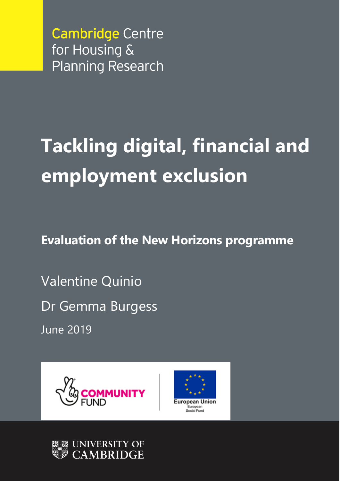# **Tackling digital, financial and employment exclusion**

**Evaluation of the New Horizons programme**

Valentine Quinio Dr Gemma Burgess June 2019





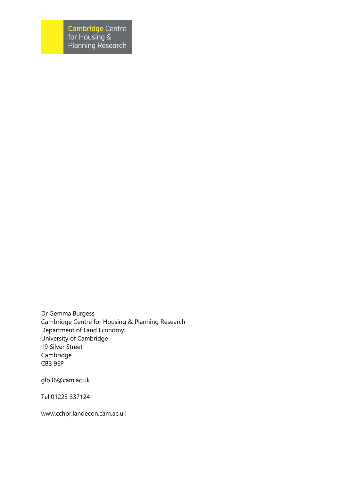Dr Gemma Burgess Cambridge Centre for Housing & Planning Research Department of Land Economy University of Cambridge 19 Silver Street Cambridge CB3 9EP

[glb36@cam.ac.uk](mailto:glb36@cam.ac.uk)

Tel 01223 337124

[www.cchpr.landecon.cam.ac.uk](http://www.cchpr.landecon.cam.ac.uk/)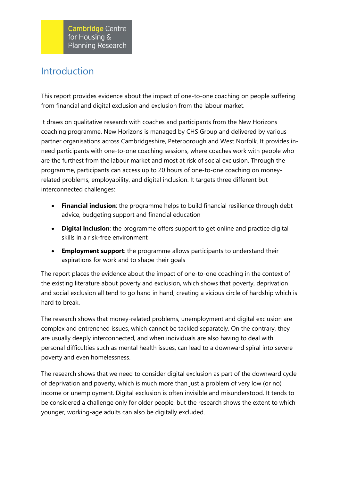# Introduction

This report provides evidence about the impact of one-to-one coaching on people suffering from financial and digital exclusion and exclusion from the labour market.

It draws on qualitative research with coaches and participants from the New Horizons coaching programme. New Horizons is managed by CHS Group and delivered by various partner organisations across Cambridgeshire, Peterborough and West Norfolk. It provides inneed participants with one-to-one coaching sessions, where coaches work with people who are the furthest from the labour market and most at risk of social exclusion. Through the programme, participants can access up to 20 hours of one-to-one coaching on moneyrelated problems, employability, and digital inclusion. It targets three different but interconnected challenges:

- **Financial inclusion**: the programme helps to build financial resilience through debt advice, budgeting support and financial education
- **Digital inclusion**: the programme offers support to get online and practice digital skills in a risk-free environment
- **Employment support**: the programme allows participants to understand their aspirations for work and to shape their goals

The report places the evidence about the impact of one-to-one coaching in the context of the existing literature about poverty and exclusion, which shows that poverty, deprivation and social exclusion all tend to go hand in hand, creating a vicious circle of hardship which is hard to break.

The research shows that money-related problems, unemployment and digital exclusion are complex and entrenched issues, which cannot be tackled separately. On the contrary, they are usually deeply interconnected, and when individuals are also having to deal with personal difficulties such as mental health issues, can lead to a downward spiral into severe poverty and even homelessness.

The research shows that we need to consider digital exclusion as part of the downward cycle of deprivation and poverty, which is much more than just a problem of very low (or no) income or unemployment. Digital exclusion is often invisible and misunderstood. It tends to be considered a challenge only for older people, but the research shows the extent to which younger, working-age adults can also be digitally excluded.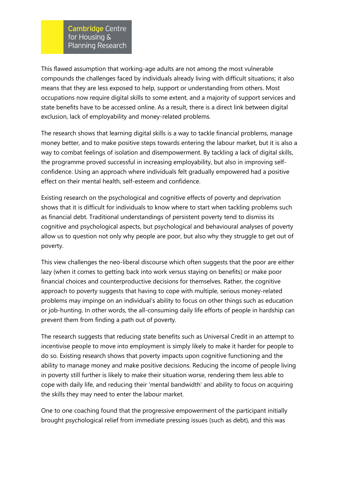This flawed assumption that working-age adults are not among the most vulnerable compounds the challenges faced by individuals already living with difficult situations; it also means that they are less exposed to help, support or understanding from others. Most occupations now require digital skills to some extent, and a majority of support services and state benefits have to be accessed online. As a result, there is a direct link between digital exclusion, lack of employability and money-related problems.

The research shows that learning digital skills is a way to tackle financial problems, manage money better, and to make positive steps towards entering the labour market, but it is also a way to combat feelings of isolation and disempowerment. By tackling a lack of digital skills, the programme proved successful in increasing employability, but also in improving selfconfidence. Using an approach where individuals felt gradually empowered had a positive effect on their mental health, self-esteem and confidence.

Existing research on the psychological and cognitive effects of poverty and deprivation shows that it is difficult for individuals to know where to start when tackling problems such as financial debt. Traditional understandings of persistent poverty tend to dismiss its cognitive and psychological aspects, but psychological and behavioural analyses of poverty allow us to question not only why people are poor, but also why they struggle to get out of poverty.

This view challenges the neo-liberal discourse which often suggests that the poor are either lazy (when it comes to getting back into work versus staying on benefits) or make poor financial choices and counterproductive decisions for themselves. Rather, the cognitive approach to poverty suggests that having to cope with multiple, serious money-related problems may impinge on an individual's ability to focus on other things such as education or job-hunting. In other words, the all-consuming daily life efforts of people in hardship can prevent them from finding a path out of poverty.

The research suggests that reducing state benefits such as Universal Credit in an attempt to incentivise people to move into employment is simply likely to make it harder for people to do so. Existing research shows that poverty impacts upon cognitive functioning and the ability to manage money and make positive decisions. Reducing the income of people living in poverty still further is likely to make their situation worse, rendering them less able to cope with daily life, and reducing their 'mental bandwidth' and ability to focus on acquiring the skills they may need to enter the labour market.

One to one coaching found that the progressive empowerment of the participant initially brought psychological relief from immediate pressing issues (such as debt), and this was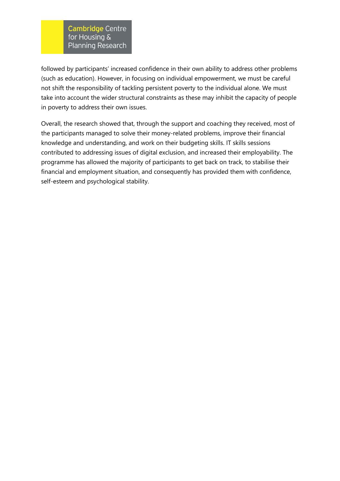followed by participants' increased confidence in their own ability to address other problems (such as education). However, in focusing on individual empowerment, we must be careful not shift the responsibility of tackling persistent poverty to the individual alone. We must take into account the wider structural constraints as these may inhibit the capacity of people in poverty to address their own issues.

Overall, the research showed that, through the support and coaching they received, most of the participants managed to solve their money-related problems, improve their financial knowledge and understanding, and work on their budgeting skills. IT skills sessions contributed to addressing issues of digital exclusion, and increased their employability. The programme has allowed the majority of participants to get back on track, to stabilise their financial and employment situation, and consequently has provided them with confidence, self-esteem and psychological stability.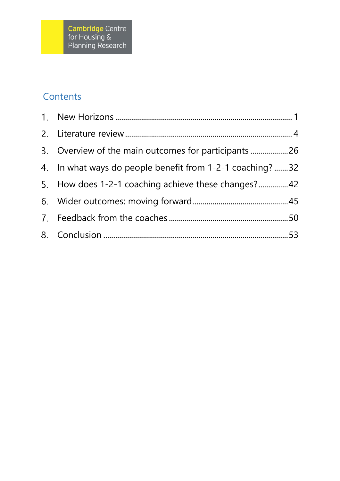# **Contents**

| 3. Overview of the main outcomes for participants 26     |  |
|----------------------------------------------------------|--|
| 4. In what ways do people benefit from 1-2-1 coaching?32 |  |
| 5. How does 1-2-1 coaching achieve these changes?42      |  |
|                                                          |  |
|                                                          |  |
|                                                          |  |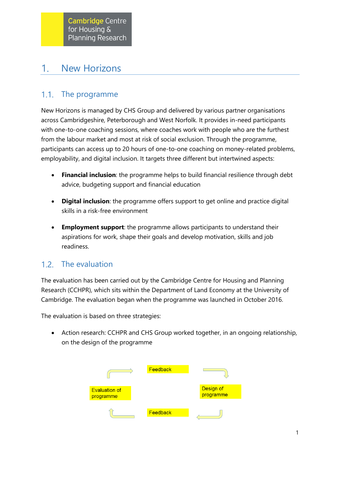#### <span id="page-6-0"></span>New Horizons 1.

#### $1.1.$ The programme

New Horizons is managed by CHS Group and delivered by various partner organisations across Cambridgeshire, Peterborough and West Norfolk. It provides in-need participants with one-to-one coaching sessions, where coaches work with people who are the furthest from the labour market and most at risk of social exclusion. Through the programme, participants can access up to 20 hours of one-to-one coaching on money-related problems, employability, and digital inclusion. It targets three different but intertwined aspects:

- **Financial inclusion**: the programme helps to build financial resilience through debt advice, budgeting support and financial education
- **Digital inclusion**: the programme offers support to get online and practice digital skills in a risk-free environment
- **Employment support**: the programme allows participants to understand their aspirations for work, shape their goals and develop motivation, skills and job readiness.

#### The evaluation  $1.2.$

The evaluation has been carried out by the Cambridge Centre for Housing and Planning Research (CCHPR), which sits within the Department of Land Economy at the University of Cambridge. The evaluation began when the programme was launched in October 2016.

The evaluation is based on three strategies:

• Action research: CCHPR and CHS Group worked together, in an ongoing relationship, on the design of the programme

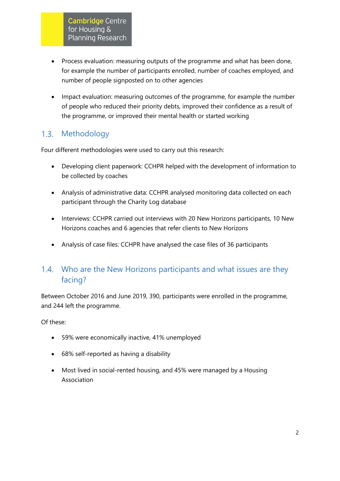- Process evaluation: measuring outputs of the programme and what has been done, for example the number of participants enrolled, number of coaches employed, and number of people signposted on to other agencies
- Impact evaluation: measuring outcomes of the programme, for example the number of people who reduced their priority debts, improved their confidence as a result of the programme, or improved their mental health or started working

#### $1.3.$ Methodology

Four different methodologies were used to carry out this research:

- Developing client paperwork: CCHPR helped with the development of information to be collected by coaches
- Analysis of administrative data: CCHPR analysed monitoring data collected on each participant through the Charity Log database
- Interviews: CCHPR carried out interviews with 20 New Horizons participants, 10 New Horizons coaches and 6 agencies that refer clients to New Horizons
- Analysis of case files: CCHPR have analysed the case files of 36 participants

# 1.4. Who are the New Horizons participants and what issues are they facing?

Between October 2016 and June 2019, 390, participants were enrolled in the programme, and 244 left the programme.

Of these:

- 59% were economically inactive, 41% unemployed
- 68% self-reported as having a disability
- Most lived in social-rented housing, and 45% were managed by a Housing Association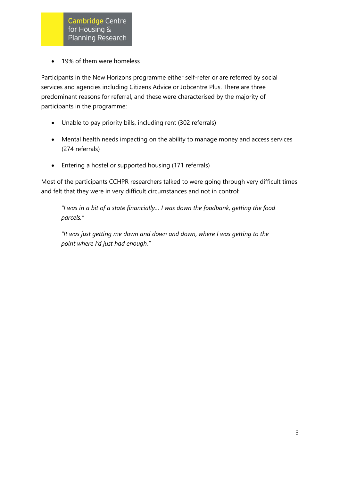• 19% of them were homeless

Participants in the New Horizons programme either self-refer or are referred by social services and agencies including Citizens Advice or Jobcentre Plus. There are three predominant reasons for referral, and these were characterised by the majority of participants in the programme:

- Unable to pay priority bills, including rent (302 referrals)
- Mental health needs impacting on the ability to manage money and access services (274 referrals)
- Entering a hostel or supported housing (171 referrals)

Most of the participants CCHPR researchers talked to were going through very difficult times and felt that they were in very difficult circumstances and not in control:

*"I was in a bit of a state financially… I was down the foodbank, getting the food parcels."*

<span id="page-8-0"></span>*"It was just getting me down and down and down, where I was getting to the point where I'd just had enough."*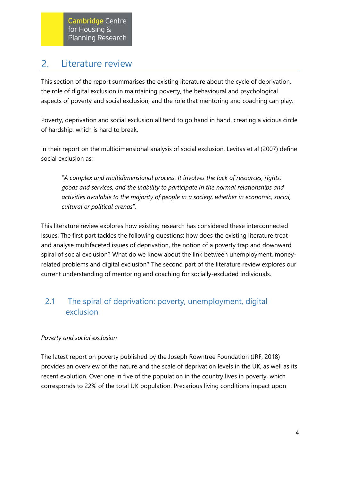#### Literature review  $2.$

This section of the report summarises the existing literature about the cycle of deprivation, the role of digital exclusion in maintaining poverty, the behavioural and psychological aspects of poverty and social exclusion, and the role that mentoring and coaching can play.

Poverty, deprivation and social exclusion all tend to go hand in hand, creating a vicious circle of hardship, which is hard to break.

In their report on the multidimensional analysis of social exclusion, Levitas et al (2007) define social exclusion as:

"*A complex and multidimensional process. It involves the lack of resources, rights, goods and services, and the inability to participate in the normal relationships and activities available to the majority of people in a society, whether in economic, social, cultural or political arenas*".

This literature review explores how existing research has considered these interconnected issues. The first part tackles the following questions: how does the existing literature treat and analyse multifaceted issues of deprivation, the notion of a poverty trap and downward spiral of social exclusion? What do we know about the link between unemployment, moneyrelated problems and digital exclusion? The second part of the literature review explores our current understanding of mentoring and coaching for socially-excluded individuals.

# 2.1 The spiral of deprivation: poverty, unemployment, digital exclusion

# *Poverty and social exclusion*

The latest report on poverty published by the Joseph Rowntree Foundation (JRF, 2018) provides an overview of the nature and the scale of deprivation levels in the UK, as well as its recent evolution. Over one in five of the population in the country lives in poverty, which corresponds to 22% of the total UK population. Precarious living conditions impact upon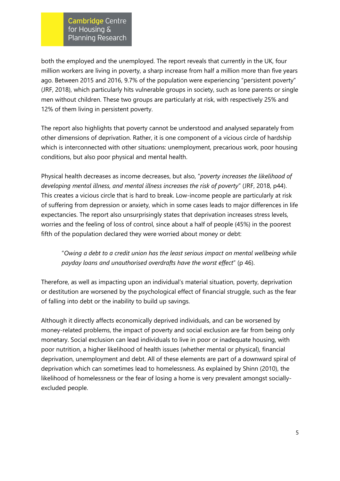both the employed and the unemployed. The report reveals that currently in the UK, four million workers are living in poverty, a sharp increase from half a million more than five years ago. Between 2015 and 2016, 9.7% of the population were experiencing "persistent poverty" (JRF, 2018), which particularly hits vulnerable groups in society, such as lone parents or single men without children. These two groups are particularly at risk, with respectively 25% and 12% of them living in persistent poverty.

The report also highlights that poverty cannot be understood and analysed separately from other dimensions of deprivation. Rather, it is one component of a vicious circle of hardship which is interconnected with other situations: unemployment, precarious work, poor housing conditions, but also poor physical and mental health.

Physical health decreases as income decreases, but also, "*poverty increases the likelihood of developing mental illness, and mental illness increases the risk of poverty*" (JRF, 2018, p44). This creates a vicious circle that is hard to break. Low-income people are particularly at risk of suffering from depression or anxiety, which in some cases leads to major differences in life expectancies. The report also unsurprisingly states that deprivation increases stress levels, worries and the feeling of loss of control, since about a half of people (45%) in the poorest fifth of the population declared they were worried about money or debt:

"*Owing a debt to a credit union has the least serious impact on mental wellbeing while payday loans and unauthorised overdrafts have the worst effect*" (p 46).

Therefore, as well as impacting upon an individual's material situation, poverty, deprivation or destitution are worsened by the psychological effect of financial struggle, such as the fear of falling into debt or the inability to build up savings.

Although it directly affects economically deprived individuals, and can be worsened by money-related problems, the impact of poverty and social exclusion are far from being only monetary. Social exclusion can lead individuals to live in poor or inadequate housing, with poor nutrition, a higher likelihood of health issues (whether mental or physical), financial deprivation, unemployment and debt. All of these elements are part of a downward spiral of deprivation which can sometimes lead to homelessness. As explained by Shinn (2010), the likelihood of homelessness or the fear of losing a home is very prevalent amongst sociallyexcluded people.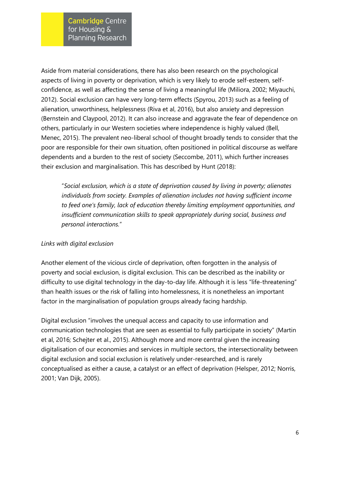Aside from material considerations, there has also been research on the psychological aspects of living in poverty or deprivation, which is very likely to erode self-esteem, selfconfidence, as well as affecting the sense of living a meaningful life (Miliora, 2002; Miyauchi, 2012). Social exclusion can have very long-term effects (Spyrou, 2013) such as a feeling of alienation, unworthiness, helplessness (Riva et al, 2016), but also anxiety and depression (Bernstein and Claypool, 2012). It can also increase and aggravate the fear of dependence on others, particularly in our Western societies where independence is highly valued (Bell, Menec, 2015). The prevalent neo-liberal school of thought broadly tends to consider that the poor are responsible for their own situation, often positioned in political discourse as welfare dependents and a burden to the rest of society (Seccombe, 2011), which further increases their exclusion and marginalisation. This has described by Hunt (2018):

"*Social exclusion, which is a state of deprivation caused by living in poverty; alienates individuals from society. Examples of alienation includes not having sufficient income to feed one's family, lack of education thereby limiting employment opportunities, and insufficient communication skills to speak appropriately during social, business and personal interactions.*"

### *Links with digital exclusion*

Another element of the vicious circle of deprivation, often forgotten in the analysis of poverty and social exclusion, is digital exclusion. This can be described as the inability or difficulty to use digital technology in the day-to-day life. Although it is less "life-threatening" than health issues or the risk of falling into homelessness, it is nonetheless an important factor in the marginalisation of population groups already facing hardship.

Digital exclusion "involves the unequal access and capacity to use information and communication technologies that are seen as essential to fully participate in society" (Martin et al, 2016; Schejter et al., 2015). Although more and more central given the increasing digitalisation of our economies and services in multiple sectors, the intersectionality between digital exclusion and social exclusion is relatively under-researched, and is rarely conceptualised as either a cause, a catalyst or an effect of deprivation (Helsper, 2012; Norris, 2001; Van Dijk, 2005).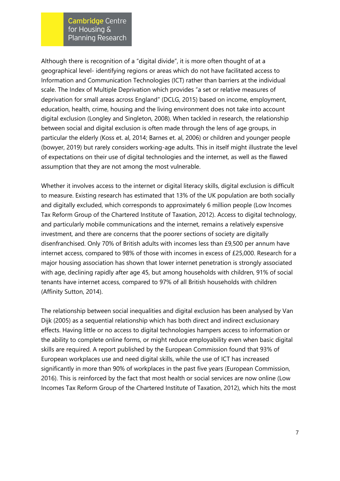Although there is recognition of a "digital divide", it is more often thought of at a geographical level- identifying regions or areas which do not have facilitated access to Information and Communication Technologies (ICT) rather than barriers at the individual scale. The Index of Multiple Deprivation which provides "a set or relative measures of deprivation for small areas across England" (DCLG, 2015) based on income, employment, education, health, crime, housing and the living environment does not take into account digital exclusion (Longley and Singleton, 2008). When tackled in research, the relationship between social and digital exclusion is often made through the lens of age groups, in particular the elderly (Koss et. al, 2014; Barnes et. al, 2006) or children and younger people (bowyer, 2019) but rarely considers working-age adults. This in itself might illustrate the level of expectations on their use of digital technologies and the internet, as well as the flawed assumption that they are not among the most vulnerable.

Whether it involves access to the internet or digital literacy skills, digital exclusion is difficult to measure. Existing research has estimated that 13% of the UK population are both socially and digitally excluded, which corresponds to approximately 6 million people (Low Incomes Tax Reform Group of the Chartered Institute of Taxation, 2012). Access to digital technology, and particularly mobile communications and the internet, remains a relatively expensive investment, and there are concerns that the poorer sections of society are digitally disenfranchised. Only 70% of British adults with incomes less than £9,500 per annum have internet access, compared to 98% of those with incomes in excess of £25,000. Research for a major housing association has shown that lower internet penetration is strongly associated with age, declining rapidly after age 45, but among households with children, 91% of social tenants have internet access, compared to 97% of all British households with children (Affinity Sutton, 2014).

The relationship between social inequalities and digital exclusion has been analysed by Van Dijk (2005) as a sequential relationship which has both direct and indirect exclusionary effects. Having little or no access to digital technologies hampers access to information or the ability to complete online forms, or might reduce employability even when basic digital skills are required. A report published by the European Commission found that 93% of European workplaces use and need digital skills, while the use of ICT has increased significantly in more than 90% of workplaces in the past five years (European Commission, 2016). This is reinforced by the fact that most health or social services are now online (Low Incomes Tax Reform Group of the Chartered Institute of Taxation, 2012), which hits the most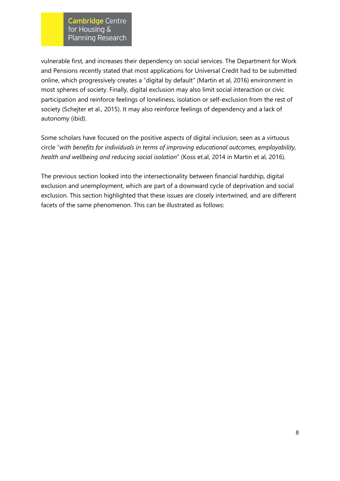vulnerable first, and increases their dependency on social services. The Department for Work and Pensions recently stated that most applications for Universal Credit had to be submitted online, which progressively creates a "digital by default" (Martin et al, 2016) environment in most spheres of society. Finally, digital exclusion may also limit social interaction or civic participation and reinforce feelings of loneliness, isolation or self-exclusion from the rest of society (Schejter et al., 2015). It may also reinforce feelings of dependency and a lack of autonomy (ibid).

Some scholars have focused on the positive aspects of digital inclusion, seen as a virtuous circle "*with benefits for individuals in terms of improving educational outcomes, employability, health and wellbeing and reducing social isolation*" (Koss et.al, 2014 in Martin et al, 2016).

The previous section looked into the intersectionality between financial hardship, digital exclusion and unemployment, which are part of a downward cycle of deprivation and social exclusion. This section highlighted that these issues are closely intertwined, and are different facets of the same phenomenon. This can be illustrated as follows: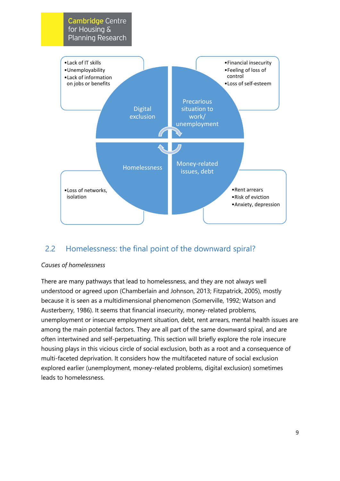

# 2.2 Homelessness: the final point of the downward spiral?

### *Causes of homelessness*

There are many pathways that lead to homelessness, and they are not always well understood or agreed upon (Chamberlain and Johnson, 2013; Fitzpatrick, 2005), mostly because it is seen as a multidimensional phenomenon (Somerville, 1992; Watson and Austerberry, 1986). It seems that financial insecurity, money-related problems, unemployment or insecure employment situation, debt, rent arrears, mental health issues are among the main potential factors. They are all part of the same downward spiral, and are often intertwined and self-perpetuating. This section will briefly explore the role insecure housing plays in this vicious circle of social exclusion, both as a root and a consequence of multi-faceted deprivation. It considers how the multifaceted nature of social exclusion explored earlier (unemployment, money-related problems, digital exclusion) sometimes leads to homelessness.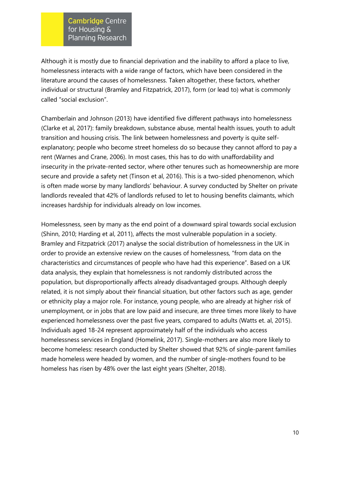Although it is mostly due to financial deprivation and the inability to afford a place to live, homelessness interacts with a wide range of factors, which have been considered in the literature around the causes of homelessness. Taken altogether, these factors, whether individual or structural (Bramley and Fitzpatrick, 2017), form (or lead to) what is commonly called "social exclusion".

Chamberlain and Johnson (2013) have identified five different pathways into homelessness (Clarke et al, 2017): family breakdown, substance abuse, mental health issues, youth to adult transition and housing crisis. The link between homelessness and poverty is quite selfexplanatory; people who become street homeless do so because they cannot afford to pay a rent (Warnes and Crane, 2006). In most cases, this has to do with unaffordability and insecurity in the private-rented sector, where other tenures such as homeownership are more secure and provide a safety net (Tinson et al, 2016). This is a two-sided phenomenon, which is often made worse by many landlords' behaviour. A survey conducted by Shelter on private landlords revealed that 42% of landlords refused to let to housing benefits claimants, which increases hardship for individuals already on low incomes.

Homelessness, seen by many as the end point of a downward spiral towards social exclusion (Shinn, 2010; Harding et al, 2011), affects the most vulnerable population in a society. Bramley and Fitzpatrick (2017) analyse the social distribution of homelessness in the UK in order to provide an extensive review on the causes of homelessness, "from data on the characteristics and circumstances of people who have had this experience". Based on a UK data analysis, they explain that homelessness is not randomly distributed across the population, but disproportionally affects already disadvantaged groups. Although deeply related, it is not simply about their financial situation, but other factors such as age, gender or ethnicity play a major role. For instance, young people, who are already at higher risk of unemployment, or in jobs that are low paid and insecure, are three times more likely to have experienced homelessness over the past five years, compared to adults (Watts et. al, 2015). Individuals aged 18-24 represent approximately half of the individuals who access homelessness services in England (Homelink, 2017). Single-mothers are also more likely to become homeless: research conducted by Shelter showed that 92% of single-parent families made homeless were headed by women, and the number of single-mothers found to be homeless has risen by 48% over the last eight years (Shelter, 2018).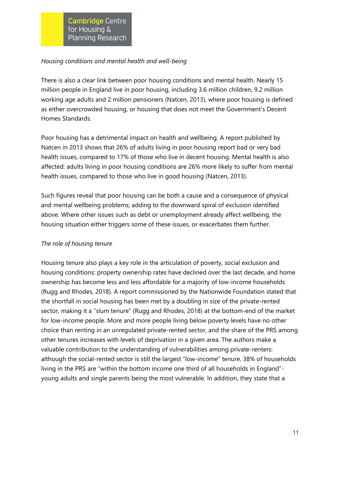### *Housing conditions and mental health and well-being*

There is also a clear link between poor housing conditions and mental health. Nearly 15 million people in England live in poor housing, including 3.6 million children, 9.2 million working age adults and 2 million pensioners (Natcen, 2013), where poor housing is defined as either overcrowded housing, or housing that does not meet the Government's Decent Homes Standards.

Poor housing has a detrimental impact on health and wellbeing. A report published by Natcen in 2013 shows that 26% of adults living in poor housing report bad or very bad health issues, compared to 17% of those who live in decent housing. Mental health is also affected: adults living in poor housing conditions are 26% more likely to suffer from mental health issues, compared to those who live in good housing (Natcen, 2013).

Such figures reveal that poor housing can be both a cause and a consequence of physical and mental wellbeing problems; adding to the downward spiral of exclusion identified above. Where other issues such as debt or unemployment already affect wellbeing, the housing situation either triggers some of these issues, or exacerbates them further.

### *The role of housing tenure*

Housing tenure also plays a key role in the articulation of poverty, social exclusion and housing conditions: property ownership rates have declined over the last decade, and home ownership has become less and less affordable for a majority of low-income households (Rugg and Rhodes, 2018). A report commissioned by the Nationwide Foundation stated that the shortfall in social housing has been met by a doubling in size of the private-rented sector, making it a "slum tenure" (Rugg and Rhodes, 2018) at the bottom-end of the market for low-income people. More and more people living below poverty levels have no other choice than renting in an unregulated private-rented sector, and the share of the PRS among other tenures increases with levels of deprivation in a given area. The authors make a valuable contribution to the understanding of vulnerabilities among private-renters: although the social-rented sector is still the largest "low-income" tenure, 38% of households living in the PRS are "within the bottom income one third of all households in England" young adults and single parents being the most vulnerable. In addition, they state that a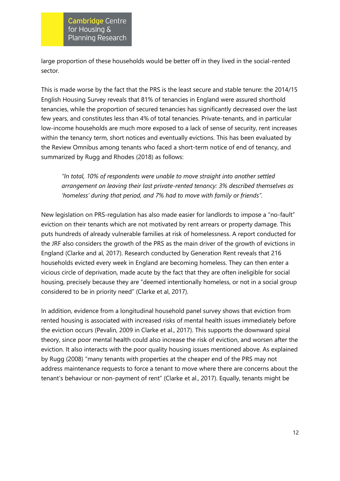large proportion of these households would be better off in they lived in the social-rented sector.

This is made worse by the fact that the PRS is the least secure and stable tenure: the 2014/15 English Housing Survey reveals that 81% of tenancies in England were assured shorthold tenancies, while the proportion of secured tenancies has significantly decreased over the last few years, and constitutes less than 4% of total tenancies. Private-tenants, and in particular low-income households are much more exposed to a lack of sense of security, rent increases within the tenancy term, short notices and eventually evictions. This has been evaluated by the Review Omnibus among tenants who faced a short-term notice of end of tenancy, and summarized by Rugg and Rhodes (2018) as follows:

*"In total, 10% of respondents were unable to move straight into another settled arrangement on leaving their last private-rented tenancy: 3% described themselves as 'homeless' during that period, and 7% had to move with family or friends".* 

New legislation on PRS-regulation has also made easier for landlords to impose a "no-fault" eviction on their tenants which are not motivated by rent arrears or property damage. This puts hundreds of already vulnerable families at risk of homelessness. A report conducted for the JRF also considers the growth of the PRS as the main driver of the growth of evictions in England (Clarke and al, 2017). Research conducted by Generation Rent reveals that 216 households evicted every week in England are becoming homeless. They can then enter a vicious circle of deprivation, made acute by the fact that they are often ineligible for social housing, precisely because they are "deemed intentionally homeless, or not in a social group considered to be in priority need" (Clarke et al, 2017).

In addition, evidence from a longitudinal household panel survey shows that eviction from rented housing is associated with increased risks of mental health issues immediately before the eviction occurs (Pevalin, 2009 in Clarke et al., 2017). This supports the downward spiral theory, since poor mental health could also increase the risk of eviction, and worsen after the eviction. It also interacts with the poor quality housing issues mentioned above. As explained by Rugg (2008) "many tenants with properties at the cheaper end of the PRS may not address maintenance requests to force a tenant to move where there are concerns about the tenant's behaviour or non-payment of rent" (Clarke et al., 2017). Equally, tenants might be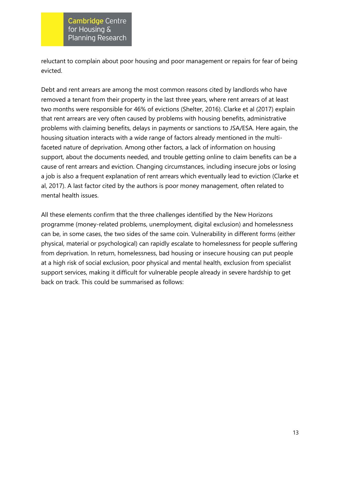reluctant to complain about poor housing and poor management or repairs for fear of being evicted.

Debt and rent arrears are among the most common reasons cited by landlords who have removed a tenant from their property in the last three years, where rent arrears of at least two months were responsible for 46% of evictions (Shelter, 2016). Clarke et al (2017) explain that rent arrears are very often caused by problems with housing benefits, administrative problems with claiming benefits, delays in payments or sanctions to JSA/ESA. Here again, the housing situation interacts with a wide range of factors already mentioned in the multifaceted nature of deprivation. Among other factors, a lack of information on housing support, about the documents needed, and trouble getting online to claim benefits can be a cause of rent arrears and eviction. Changing circumstances, including insecure jobs or losing a job is also a frequent explanation of rent arrears which eventually lead to eviction (Clarke et al, 2017). A last factor cited by the authors is poor money management, often related to mental health issues.

All these elements confirm that the three challenges identified by the New Horizons programme (money-related problems, unemployment, digital exclusion) and homelessness can be, in some cases, the two sides of the same coin. Vulnerability in different forms (either physical, material or psychological) can rapidly escalate to homelessness for people suffering from deprivation. In return, homelessness, bad housing or insecure housing can put people at a high risk of social exclusion, poor physical and mental health, exclusion from specialist support services, making it difficult for vulnerable people already in severe hardship to get back on track. This could be summarised as follows: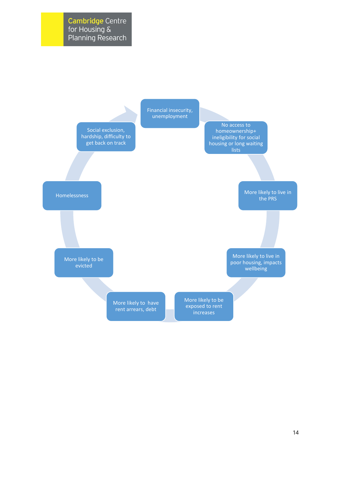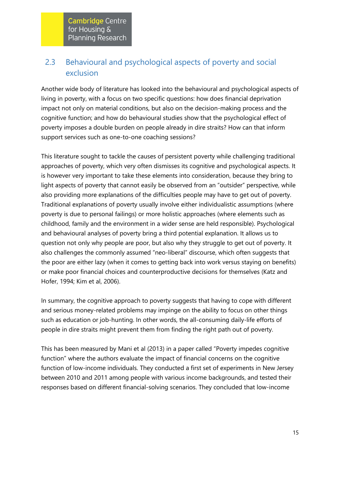# 2.3 Behavioural and psychological aspects of poverty and social exclusion

Another wide body of literature has looked into the behavioural and psychological aspects of living in poverty, with a focus on two specific questions: how does financial deprivation impact not only on material conditions, but also on the decision-making process and the cognitive function; and how do behavioural studies show that the psychological effect of poverty imposes a double burden on people already in dire straits? How can that inform support services such as one-to-one coaching sessions?

This literature sought to tackle the causes of persistent poverty while challenging traditional approaches of poverty, which very often dismisses its cognitive and psychological aspects. It is however very important to take these elements into consideration, because they bring to light aspects of poverty that cannot easily be observed from an "outsider" perspective, while also providing more explanations of the difficulties people may have to get out of poverty. Traditional explanations of poverty usually involve either individualistic assumptions (where poverty is due to personal failings) or more holistic approaches (where elements such as childhood, family and the environment in a wider sense are held responsible). Psychological and behavioural analyses of poverty bring a third potential explanation. It allows us to question not only why people are poor, but also why they struggle to get out of poverty. It also challenges the commonly assumed "neo-liberal" discourse, which often suggests that the poor are either lazy (when it comes to getting back into work versus staying on benefits) or make poor financial choices and counterproductive decisions for themselves (Katz and Hofer, 1994; Kim et al, 2006).

In summary, the cognitive approach to poverty suggests that having to cope with different and serious money-related problems may impinge on the ability to focus on other things such as education or job-hunting. In other words, the all-consuming daily-life efforts of people in dire straits might prevent them from finding the right path out of poverty.

This has been measured by Mani et al (2013) in a paper called "Poverty impedes cognitive function" where the authors evaluate the impact of financial concerns on the cognitive function of low-income individuals. They conducted a first set of experiments in New Jersey between 2010 and 2011 among people with various income backgrounds, and tested their responses based on different financial-solving scenarios. They concluded that low-income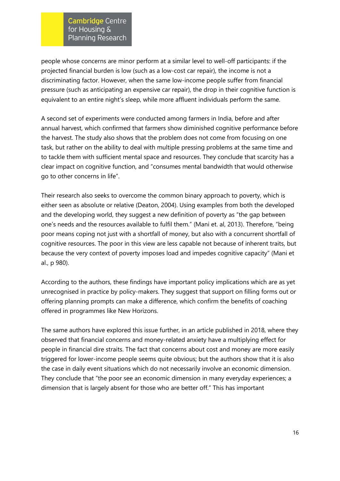people whose concerns are minor perform at a similar level to well-off participants: if the projected financial burden is low (such as a low-cost car repair), the income is not a discriminating factor. However, when the same low-income people suffer from financial pressure (such as anticipating an expensive car repair), the drop in their cognitive function is equivalent to an entire night's sleep, while more affluent individuals perform the same.

A second set of experiments were conducted among farmers in India, before and after annual harvest, which confirmed that farmers show diminished cognitive performance before the harvest. The study also shows that the problem does not come from focusing on one task, but rather on the ability to deal with multiple pressing problems at the same time and to tackle them with sufficient mental space and resources. They conclude that scarcity has a clear impact on cognitive function, and "consumes mental bandwidth that would otherwise go to other concerns in life".

Their research also seeks to overcome the common binary approach to poverty, which is either seen as absolute or relative (Deaton, 2004). Using examples from both the developed and the developing world, they suggest a new definition of poverty as "the gap between one's needs and the resources available to fulfil them." (Mani et. al, 2013). Therefore, "being poor means coping not just with a shortfall of money, but also with a concurrent shortfall of cognitive resources. The poor in this view are less capable not because of inherent traits, but because the very context of poverty imposes load and impedes cognitive capacity" (Mani et al., p 980).

According to the authors, these findings have important policy implications which are as yet unrecognised in practice by policy-makers. They suggest that support on filling forms out or offering planning prompts can make a difference, which confirm the benefits of coaching offered in programmes like New Horizons.

The same authors have explored this issue further, in an article published in 2018, where they observed that financial concerns and money-related anxiety have a multiplying effect for people in financial dire straits. The fact that concerns about cost and money are more easily triggered for lower-income people seems quite obvious; but the authors show that it is also the case in daily event situations which do not necessarily involve an economic dimension. They conclude that "the poor see an economic dimension in many everyday experiences; a dimension that is largely absent for those who are better off." This has important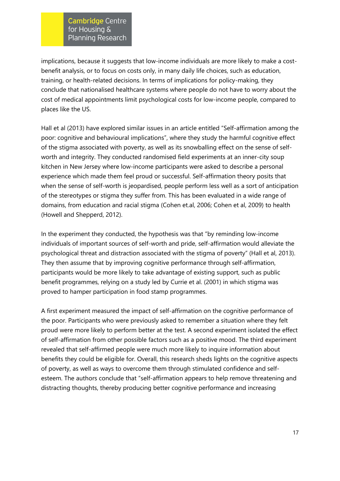implications, because it suggests that low-income individuals are more likely to make a costbenefit analysis, or to focus on costs only, in many daily life choices, such as education, training, or health-related decisions. In terms of implications for policy-making, they conclude that nationalised healthcare systems where people do not have to worry about the cost of medical appointments limit psychological costs for low-income people, compared to places like the US.

Hall et al (2013) have explored similar issues in an article entitled "Self-affirmation among the poor: cognitive and behavioural implications", where they study the harmful cognitive effect of the stigma associated with poverty, as well as its snowballing effect on the sense of selfworth and integrity. They conducted randomised field experiments at an inner-city soup kitchen in New Jersey where low-income participants were asked to describe a personal experience which made them feel proud or successful. Self-affirmation theory posits that when the sense of self-worth is jeopardised, people perform less well as a sort of anticipation of the stereotypes or stigma they suffer from. This has been evaluated in a wide range of domains, from education and racial stigma (Cohen et.al, 2006; Cohen et al, 2009) to health (Howell and Shepperd, 2012).

In the experiment they conducted, the hypothesis was that "by reminding low-income individuals of important sources of self-worth and pride, self-affirmation would alleviate the psychological threat and distraction associated with the stigma of poverty" (Hall et al, 2013). They then assume that by improving cognitive performance through self-affirmation, participants would be more likely to take advantage of existing support, such as public benefit programmes, relying on a study led by Currie et al. (2001) in which stigma was proved to hamper participation in food stamp programmes.

A first experiment measured the impact of self-affirmation on the cognitive performance of the poor. Participants who were previously asked to remember a situation where they felt proud were more likely to perform better at the test. A second experiment isolated the effect of self-affirmation from other possible factors such as a positive mood. The third experiment revealed that self-affirmed people were much more likely to inquire information about benefits they could be eligible for. Overall, this research sheds lights on the cognitive aspects of poverty, as well as ways to overcome them through stimulated confidence and selfesteem. The authors conclude that "self-affirmation appears to help remove threatening and distracting thoughts, thereby producing better cognitive performance and increasing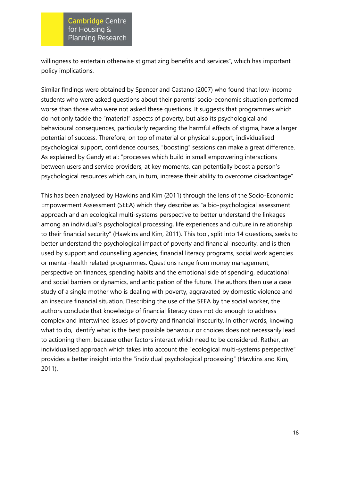willingness to entertain otherwise stigmatizing benefits and services", which has important policy implications.

Similar findings were obtained by Spencer and Castano (2007) who found that low-income students who were asked questions about their parents' socio-economic situation performed worse than those who were not asked these questions. It suggests that programmes which do not only tackle the "material" aspects of poverty, but also its psychological and behavioural consequences, particularly regarding the harmful effects of stigma, have a larger potential of success. Therefore, on top of material or physical support, individualised psychological support, confidence courses, "boosting" sessions can make a great difference. As explained by Gandy et al: "processes which build in small empowering interactions between users and service providers, at key moments, can potentially boost a person's psychological resources which can, in turn, increase their ability to overcome disadvantage".

This has been analysed by Hawkins and Kim (2011) through the lens of the Socio-Economic Empowerment Assessment (SEEA) which they describe as "a bio-psychological assessment approach and an ecological multi-systems perspective to better understand the linkages among an individual's psychological processing, life experiences and culture in relationship to their financial security" (Hawkins and Kim, 2011). This tool, split into 14 questions, seeks to better understand the psychological impact of poverty and financial insecurity, and is then used by support and counselling agencies, financial literacy programs, social work agencies or mental-health related programmes. Questions range from money management, perspective on finances, spending habits and the emotional side of spending, educational and social barriers or dynamics, and anticipation of the future. The authors then use a case study of a single mother who is dealing with poverty, aggravated by domestic violence and an insecure financial situation. Describing the use of the SEEA by the social worker, the authors conclude that knowledge of financial literacy does not do enough to address complex and intertwined issues of poverty and financial insecurity. In other words, knowing what to do, identify what is the best possible behaviour or choices does not necessarily lead to actioning them, because other factors interact which need to be considered. Rather, an individualised approach which takes into account the "ecological multi-systems perspective" provides a better insight into the "individual psychological processing" (Hawkins and Kim, 2011).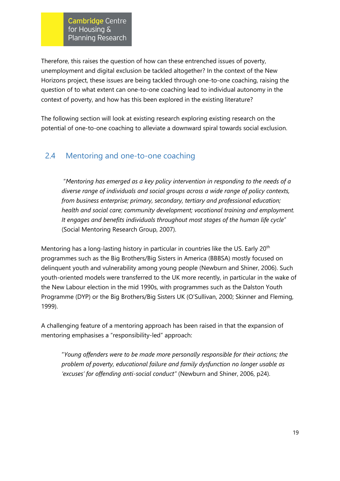Therefore, this raises the question of how can these entrenched issues of poverty, unemployment and digital exclusion be tackled altogether? In the context of the New Horizons project, these issues are being tackled through one-to-one coaching, raising the question of to what extent can one-to-one coaching lead to individual autonomy in the context of poverty, and how has this been explored in the existing literature?

The following section will look at existing research exploring existing research on the potential of one-to-one coaching to alleviate a downward spiral towards social exclusion.

# 2.4 Mentoring and one-to-one coaching

"*Mentoring has emerged as a key policy intervention in responding to the needs of a diverse range of individuals and social groups across a wide range of policy contexts, from business enterprise; primary, secondary, tertiary and professional education; health and social care; community development; vocational training and employment. It engages and benefits individuals throughout most stages of the human life cycle*" (Social Mentoring Research Group, 2007).

Mentoring has a long-lasting history in particular in countries like the US. Early 20<sup>th</sup> programmes such as the Big Brothers/Big Sisters in America (BBBSA) mostly focused on delinquent youth and vulnerability among young people (Newburn and Shiner, 2006). Such youth-oriented models were transferred to the UK more recently, in particular in the wake of the New Labour election in the mid 1990s, with programmes such as the Dalston Youth Programme (DYP) or the Big Brothers/Big Sisters UK (O'Sullivan, 2000; Skinner and Fleming, 1999).

A challenging feature of a mentoring approach has been raised in that the expansion of mentoring emphasises a "responsibility-led" approach:

"*Young offenders were to be made more personally responsible for their actions; the problem of poverty, educational failure and family dysfunction no longer usable as 'excuses' for offending anti-social conduct"* (Newburn and Shiner, 2006, p24).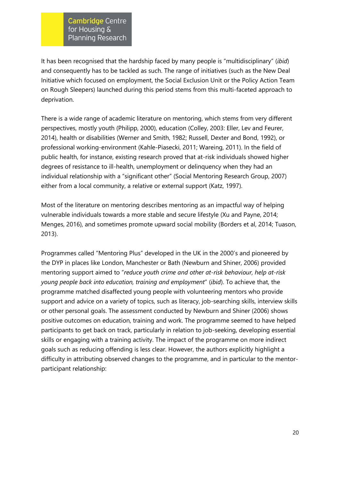It has been recognised that the hardship faced by many people is "multidisciplinary" (*ibid*) and consequently has to be tackled as such. The range of initiatives (such as the New Deal Initiative which focused on employment, the Social Exclusion Unit or the Policy Action Team on Rough Sleepers) launched during this period stems from this multi-faceted approach to deprivation.

There is a wide range of academic literature on mentoring, which stems from very different perspectives, mostly youth (Philipp, 2000), education (Colley, 2003: Eller, Lev and Feurer, 2014), health or disabilities (Werner and Smith, 1982; Russell, Dexter and Bond, 1992), or professional working-environment (Kahle-Piasecki, 2011; Wareing, 2011). In the field of public health, for instance, existing research proved that at-risk individuals showed higher degrees of resistance to ill-health, unemployment or delinquency when they had an individual relationship with a "significant other" (Social Mentoring Research Group, 2007) either from a local community, a relative or external support (Katz, 1997).

Most of the literature on mentoring describes mentoring as an impactful way of helping vulnerable individuals towards a more stable and secure lifestyle (Xu and Payne, 2014; Menges, 2016), and sometimes promote upward social mobility (Borders et al, 2014; Tuason, 2013).

Programmes called "Mentoring Plus" developed in the UK in the 2000's and pioneered by the DYP in places like London, Manchester or Bath (Newburn and Shiner, 2006) provided mentoring support aimed to "*reduce youth crime and other at-risk behaviour, help at-risk young people back into education, training and employment*" (*ibid*). To achieve that, the programme matched disaffected young people with volunteering mentors who provide support and advice on a variety of topics, such as literacy, job-searching skills, interview skills or other personal goals. The assessment conducted by Newburn and Shiner (2006) shows positive outcomes on education, training and work. The programme seemed to have helped participants to get back on track, particularly in relation to job-seeking, developing essential skills or engaging with a training activity. The impact of the programme on more indirect goals such as reducing offending is less clear. However, the authors explicitly highlight a difficulty in attributing observed changes to the programme, and in particular to the mentorparticipant relationship: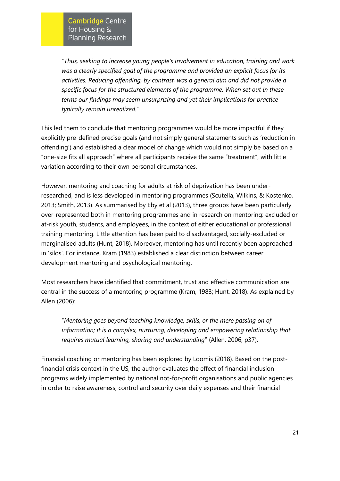"*Thus, seeking to increase young people's involvement in education, training and work was a clearly specified goal of the programme and provided an explicit focus for its activities. Reducing offending, by contrast, was a general aim and did not provide a specific focus for the structured elements of the programme. When set out in these terms our findings may seem unsurprising and yet their implications for practice typically remain unrealized.*"

This led them to conclude that mentoring programmes would be more impactful if they explicitly pre-defined precise goals (and not simply general statements such as 'reduction in offending') and established a clear model of change which would not simply be based on a "one-size fits all approach" where all participants receive the same "treatment", with little variation according to their own personal circumstances.

However, mentoring and coaching for adults at risk of deprivation has been underresearched, and is less developed in mentoring programmes (Scutella, Wilkins, & Kostenko, 2013; Smith, 2013). As summarised by Eby et al (2013), three groups have been particularly over-represented both in mentoring programmes and in research on mentoring: excluded or at-risk youth, students, and employees, in the context of either educational or professional training mentoring. Little attention has been paid to disadvantaged, socially-excluded or marginalised adults (Hunt, 2018). Moreover, mentoring has until recently been approached in 'silos'. For instance, Kram (1983) established a clear distinction between career development mentoring and psychological mentoring.

Most researchers have identified that commitment, trust and effective communication are central in the success of a mentoring programme (Kram, 1983; Hunt, 2018). As explained by Allen (2006):

"*Mentoring goes beyond teaching knowledge, skills, or the mere passing on of information; it is a complex, nurturing, developing and empowering relationship that requires mutual learning, sharing and understanding*" (Allen, 2006, p37).

Financial coaching or mentoring has been explored by Loomis (2018). Based on the postfinancial crisis context in the US, the author evaluates the effect of financial inclusion programs widely implemented by national not-for-profit organisations and public agencies in order to raise awareness, control and security over daily expenses and their financial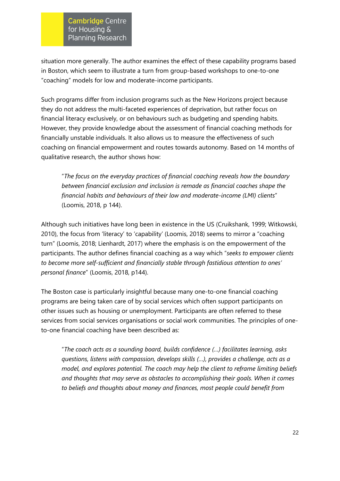situation more generally. The author examines the effect of these capability programs based in Boston, which seem to illustrate a turn from group-based workshops to one-to-one "coaching" models for low and moderate-income participants.

Such programs differ from inclusion programs such as the New Horizons project because they do not address the multi-faceted experiences of deprivation, but rather focus on financial literacy exclusively, or on behaviours such as budgeting and spending habits. However, they provide knowledge about the assessment of financial coaching methods for financially unstable individuals. It also allows us to measure the effectiveness of such coaching on financial empowerment and routes towards autonomy. Based on 14 months of qualitative research, the author shows how:

"*The focus on the everyday practices of financial coaching reveals how the boundary between financial exclusion and inclusion is remade as financial coaches shape the financial habits and behaviours of their low and moderate-income (LMI) clients*" (Loomis, 2018, p 144).

Although such initiatives have long been in existence in the US (Cruikshank, 1999; Witkowski, 2010), the focus from 'literacy' to 'capability' (Loomis, 2018) seems to mirror a "coaching turn" (Loomis, 2018; Lienhardt, 2017) where the emphasis is on the empowerment of the participants. The author defines financial coaching as a way which "*seeks to empower clients to become more self-sufficient and financially stable through fastidious attention to ones' personal finance*" (Loomis, 2018, p144).

The Boston case is particularly insightful because many one-to-one financial coaching programs are being taken care of by social services which often support participants on other issues such as housing or unemployment. Participants are often referred to these services from social services organisations or social work communities. The principles of oneto-one financial coaching have been described as:

"*The coach acts as a sounding board, builds confidence (…) facilitates learning, asks questions, listens with compassion, develops skills (…), provides a challenge, acts as a model, and explores potential. The coach may help the client to reframe limiting beliefs and thoughts that may serve as obstacles to accomplishing their goals. When it comes to beliefs and thoughts about money and finances, most people could benefit from*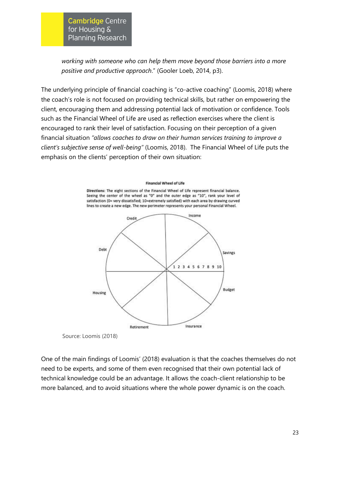*working with someone who can help them move beyond those barriers into a more positive and productive approach*." (Gooler Loeb, 2014, p3).

The underlying principle of financial coaching is "co-active coaching" (Loomis, 2018) where the coach's role is not focused on providing technical skills, but rather on empowering the client, encouraging them and addressing potential lack of motivation or confidence. Tools such as the Financial Wheel of Life are used as reflection exercises where the client is encouraged to rank their level of satisfaction. Focusing on their perception of a given financial situation *"allows coaches to draw on their human services training to improve a client's subjective sense of well-being"* (Loomis, 2018). The Financial Wheel of Life puts the emphasis on the clients' perception of their own situation:

#### **Financial Wheel of Life**

Directions: The eight sections of the Financial Wheel of Life represent financial balance. Seeing the center of the wheel as "0" and the outer edge as "10", rank your level of satisfaction (0= very dissatisfied; 10=extremely satisfied) with each area by drawing curved lines to create a new edge. The new perimeter represents your personal Financial Wheel.



Source: Loomis (2018)

One of the main findings of Loomis' (2018) evaluation is that the coaches themselves do not need to be experts, and some of them even recognised that their own potential lack of technical knowledge could be an advantage. It allows the coach-client relationship to be more balanced, and to avoid situations where the whole power dynamic is on the coach.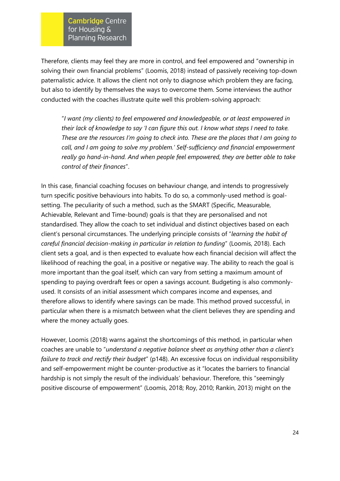Therefore, clients may feel they are more in control, and feel empowered and "ownership in solving their own financial problems" (Loomis, 2018) instead of passively receiving top-down paternalistic advice. It allows the client not only to diagnose which problem they are facing, but also to identify by themselves the ways to overcome them. Some interviews the author conducted with the coaches illustrate quite well this problem-solving approach:

"*I want (my clients) to feel empowered and knowledgeable, or at least empowered in their lack of knowledge to say 'I can figure this out. I know what steps I need to take. These are the resources I'm going to check into. These are the places that I am going to call, and I am going to solve my problem.' Self-sufficiency and financial empowerment really go hand-in-hand. And when people feel empowered, they are better able to take control of their finances*".

In this case, financial coaching focuses on behaviour change, and intends to progressively turn specific positive behaviours into habits. To do so, a commonly-used method is goalsetting. The peculiarity of such a method, such as the SMART (Specific, Measurable, Achievable, Relevant and Time-bound) goals is that they are personalised and not standardised. They allow the coach to set individual and distinct objectives based on each client's personal circumstances. The underlying principle consists of "*learning the habit of careful financial decision-making in particular in relation to funding*" (Loomis, 2018). Each client sets a goal, and is then expected to evaluate how each financial decision will affect the likelihood of reaching the goal, in a positive or negative way. The ability to reach the goal is more important than the goal itself, which can vary from setting a maximum amount of spending to paying overdraft fees or open a savings account. Budgeting is also commonlyused. It consists of an initial assessment which compares income and expenses, and therefore allows to identify where savings can be made. This method proved successful, in particular when there is a mismatch between what the client believes they are spending and where the money actually goes.

However, Loomis (2018) warns against the shortcomings of this method, in particular when coaches are unable to "*understand a negative balance sheet as anything other than a client's failure to track and rectify their budget*" (p148). An excessive focus on individual responsibility and self-empowerment might be counter-productive as it "locates the barriers to financial hardship is not simply the result of the individuals' behaviour. Therefore, this "seemingly positive discourse of empowerment" (Loomis, 2018; Roy, 2010; Rankin, 2013) might on the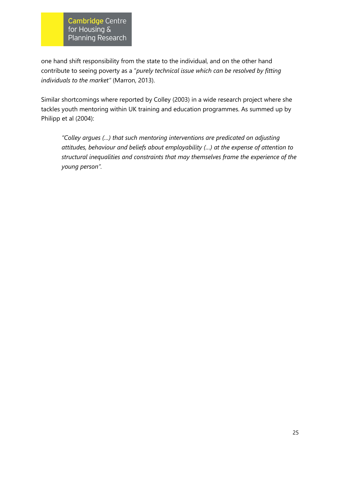one hand shift responsibility from the state to the individual, and on the other hand contribute to seeing poverty as a "*purely technical issue which can be resolved by fitting individuals to the market"* (Marron, 2013).

Similar shortcomings where reported by Colley (2003) in a wide research project where she tackles youth mentoring within UK training and education programmes. As summed up by Philipp et al (2004):

<span id="page-30-0"></span>*"Colley argues (…) that such mentoring interventions are predicated on adjusting attitudes, behaviour and beliefs about employability (…) at the expense of attention to structural inequalities and constraints that may themselves frame the experience of the young person".*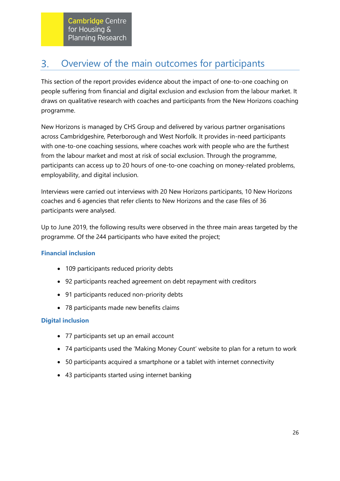#### Overview of the main outcomes for participants  $3.$

This section of the report provides evidence about the impact of one-to-one coaching on people suffering from financial and digital exclusion and exclusion from the labour market. It draws on qualitative research with coaches and participants from the New Horizons coaching programme.

New Horizons is managed by CHS Group and delivered by various partner organisations across Cambridgeshire, Peterborough and West Norfolk. It provides in-need participants with one-to-one coaching sessions, where coaches work with people who are the furthest from the labour market and most at risk of social exclusion. Through the programme, participants can access up to 20 hours of one-to-one coaching on money-related problems, employability, and digital inclusion.

Interviews were carried out interviews with 20 New Horizons participants, 10 New Horizons coaches and 6 agencies that refer clients to New Horizons and the case files of 36 participants were analysed.

Up to June 2019, the following results were observed in the three main areas targeted by the programme. Of the 244 participants who have exited the project;

# **Financial inclusion**

- 109 participants reduced priority debts
- 92 participants reached agreement on debt repayment with creditors
- 91 participants reduced non-priority debts
- 78 participants made new benefits claims

### **Digital inclusion**

- 77 participants set up an email account
- 74 participants used the 'Making Money Count' website to plan for a return to work
- 50 participants acquired a smartphone or a tablet with internet connectivity
- 43 participants started using internet banking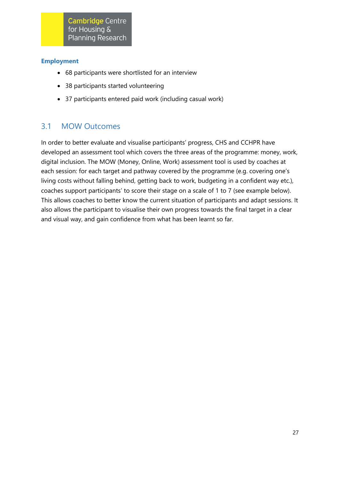### **Employment**

- 68 participants were shortlisted for an interview
- 38 participants started volunteering
- 37 participants entered paid work (including casual work)

# 3.1 MOW Outcomes

In order to better evaluate and visualise participants' progress, CHS and CCHPR have developed an assessment tool which covers the three areas of the programme: money, work, digital inclusion. The MOW (Money, Online, Work) assessment tool is used by coaches at each session: for each target and pathway covered by the programme (e.g. covering one's living costs without falling behind, getting back to work, budgeting in a confident way etc.), coaches support participants' to score their stage on a scale of 1 to 7 (see example below). This allows coaches to better know the current situation of participants and adapt sessions. It also allows the participant to visualise their own progress towards the final target in a clear and visual way, and gain confidence from what has been learnt so far.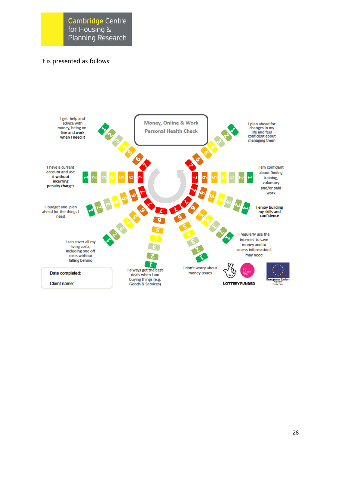### It is presented as follows:

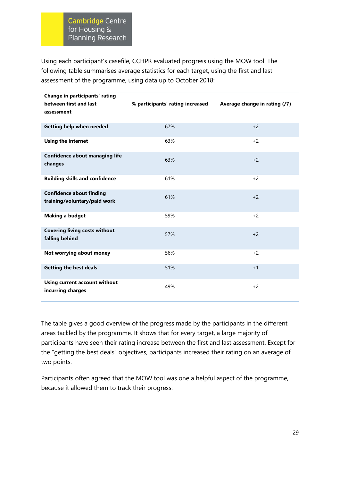Using each participant's casefile, CCHPR evaluated progress using the MOW tool. The following table summarises average statistics for each target, using the first and last assessment of the programme, using data up to October 2018:

| Change in participants' rating<br>between first and last<br>assessment | % participants' rating increased | Average change in rating (/7) |
|------------------------------------------------------------------------|----------------------------------|-------------------------------|
| Getting help when needed                                               | 67%                              | $+2$                          |
| <b>Using the internet</b>                                              | 63%                              | $+2$                          |
| <b>Confidence about managing life</b><br>changes                       | 63%                              | $+2$                          |
| <b>Building skills and confidence</b>                                  | 61%                              | $+2$                          |
| <b>Confidence about finding</b><br>training/voluntary/paid work        | 61%                              | $+2$                          |
| <b>Making a budget</b>                                                 | 59%                              | $+2$                          |
| <b>Covering living costs without</b><br>falling behind                 | 57%                              | $+2$                          |
| Not worrying about money                                               | 56%                              | $+2$                          |
| <b>Getting the best deals</b>                                          | 51%                              | $+1$                          |
| <b>Using current account without</b><br>incurring charges              | 49%                              | $+2$                          |

The table gives a good overview of the progress made by the participants in the different areas tackled by the programme. It shows that for every target, a large majority of participants have seen their rating increase between the first and last assessment. Except for the "getting the best deals" objectives, participants increased their rating on an average of two points.

Participants often agreed that the MOW tool was one a helpful aspect of the programme, because it allowed them to track their progress: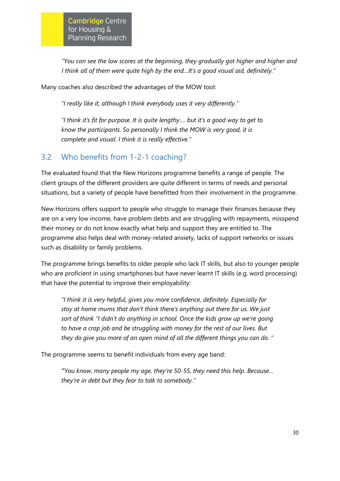*"You can see the low scores at the beginning, they gradually got higher and higher and I think all of them were quite high by the end…It's a good visual aid, definitely."*

Many coaches also described the advantages of the MOW tool:

*"I really like it, although I think everybody uses it very differently."* 

*"I think it's fit for purpose. It is quite lengthy…. but it's a good way to get to know the participants. So personally I think the MOW is very good, it is complete and visual. I think it is really effective."*

# 3.2 Who benefits from 1-2-1 coaching?

The evaluated found that the New Horizons programme benefits a range of people. The client groups of the different providers are quite different in terms of needs and personal situations, but a variety of people have benefitted from their involvement in the programme.

New Horizons offers support to people who struggle to manage their finances because they are on a very low income, have problem debts and are struggling with repayments, misspend their money or do not know exactly what help and support they are entitled to. The programme also helps deal with money-related anxiety, lacks of support networks or issues such as disability or family problems.

The programme brings benefits to older people who lack IT skills, but also to younger people who are proficient in using smartphones but have never learnt IT skills (e.g. word processing) that have the potential to improve their employability:

*"I think it is very helpful, gives you more confidence, definitely. Especially for stay at home mums that don't think there's anything out there for us. We just sort of think "I didn't do anything in school. Once the kids grow up we're going to have a crap job and be struggling with money for the rest of our lives. But they do give you more of an open mind of all the different things you can do. "*

The programme seems to benefit individuals from every age band:

*"You know, many people my age, they're 50-55, they need this help. Because… they're in debt but they fear to talk to somebody."*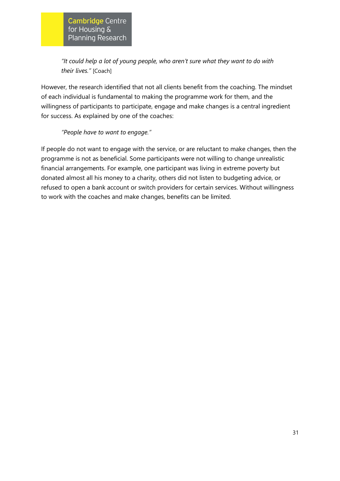*"It could help a lot of young people, who aren't sure what they want to do with their lives."* [Coach]

However, the research identified that not all clients benefit from the coaching. The mindset of each individual is fundamental to making the programme work for them, and the willingness of participants to participate, engage and make changes is a central ingredient for success. As explained by one of the coaches:

### *"People have to want to engage."*

If people do not want to engage with the service, or are reluctant to make changes, then the programme is not as beneficial. Some participants were not willing to change unrealistic financial arrangements. For example, one participant was living in extreme poverty but donated almost all his money to a charity, others did not listen to budgeting advice, or refused to open a bank account or switch providers for certain services. Without willingness to work with the coaches and make changes, benefits can be limited.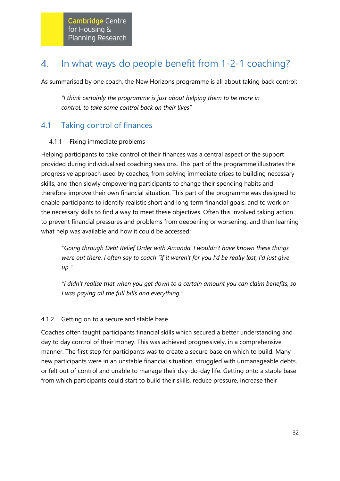#### <span id="page-37-0"></span>In what ways do people benefit from 1-2-1 coaching? 4.

As summarised by one coach, the New Horizons programme is all about taking back control:

*"I think certainly the programme is just about helping them to be more in control, to take some control back on their lives"*

# 4.1 Taking control of finances

# 4.1.1 Fixing immediate problems

Helping participants to take control of their finances was a central aspect of the support provided during individualised coaching sessions. This part of the programme illustrates the progressive approach used by coaches, from solving immediate crises to building necessary skills, and then slowly empowering participants to change their spending habits and therefore improve their own financial situation. This part of the programme was designed to enable participants to identify realistic short and long term financial goals, and to work on the necessary skills to find a way to meet these objectives. Often this involved taking action to prevent financial pressures and problems from deepening or worsening, and then learning what help was available and how it could be accessed:

"*Going through Debt Relief Order with Amanda. I wouldn't have known these things were out there. I often say to coach "if it weren't for you I'd be really lost, I'd just give up."*

*"I didn't realise that when you get down to a certain amount you can claim benefits, so I was paying all the full bills and everything."*

# 4.1.2 Getting on to a secure and stable base

Coaches often taught participants financial skills which secured a better understanding and day to day control of their money. This was achieved progressively, in a comprehensive manner. The first step for participants was to create a secure base on which to build. Many new participants were in an unstable financial situation, struggled with unmanageable debts, or felt out of control and unable to manage their day-do-day life. Getting onto a stable base from which participants could start to build their skills, reduce pressure, increase their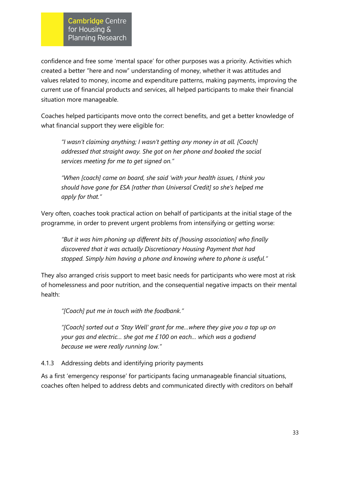confidence and free some 'mental space' for other purposes was a priority. Activities which created a better "here and now" understanding of money, whether it was attitudes and values related to money, income and expenditure patterns, making payments, improving the current use of financial products and services, all helped participants to make their financial situation more manageable.

Coaches helped participants move onto the correct benefits, and get a better knowledge of what financial support they were eligible for:

*"I wasn't claiming anything; I wasn't getting any money in at all. [Coach] addressed that straight away. She got on her phone and booked the social services meeting for me to get signed on."*

*"When [coach] came on board, she said 'with your health issues, I think you should have gone for ESA [rather than Universal Credit] so she's helped me apply for that."*

Very often, coaches took practical action on behalf of participants at the initial stage of the programme, in order to prevent urgent problems from intensifying or getting worse:

*"But it was him phoning up different bits of [housing association] who finally discovered that it was actually Discretionary Housing Payment that had stopped. Simply him having a phone and knowing where to phone is useful."*

They also arranged crisis support to meet basic needs for participants who were most at risk of homelessness and poor nutrition, and the consequential negative impacts on their mental health:

*"[Coach] put me in touch with the foodbank."* 

*"[Coach] sorted out a 'Stay Well' grant for me…where they give you a top up on your gas and electric… she got me £100 on each… which was a godsend because we were really running low."*

4.1.3 Addressing debts and identifying priority payments

As a first 'emergency response' for participants facing unmanageable financial situations, coaches often helped to address debts and communicated directly with creditors on behalf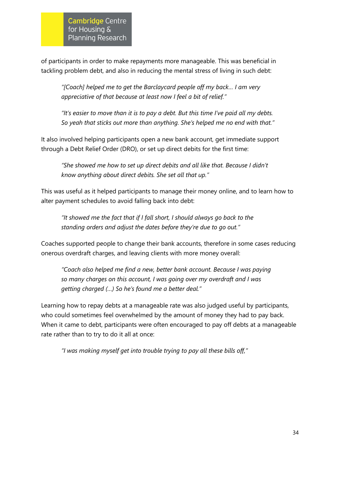of participants in order to make repayments more manageable. This was beneficial in tackling problem debt, and also in reducing the mental stress of living in such debt:

*"[Coach] helped me to get the Barclaycard people off my back… I am very appreciative of that because at least now I feel a bit of relief."*

*"It's easier to move than it is to pay a debt. But this time I've paid all my debts. So yeah that sticks out more than anything. She's helped me no end with that."*

It also involved helping participants open a new bank account, get immediate support through a Debt Relief Order (DRO), or set up direct debits for the first time:

*"She showed me how to set up direct debits and all like that. Because I didn't know anything about direct debits. She set all that up."*

This was useful as it helped participants to manage their money online, and to learn how to alter payment schedules to avoid falling back into debt:

*"It showed me the fact that if I fall short, I should always go back to the standing orders and adjust the dates before they're due to go out."*

Coaches supported people to change their bank accounts, therefore in some cases reducing onerous overdraft charges, and leaving clients with more money overall:

*"Coach also helped me find a new, better bank account. Because I was paying so many charges on this account, I was going over my overdraft and I was getting charged (…) So he's found me a better deal."*

Learning how to repay debts at a manageable rate was also judged useful by participants, who could sometimes feel overwhelmed by the amount of money they had to pay back. When it came to debt, participants were often encouraged to pay off debts at a manageable rate rather than to try to do it all at once:

*"I was making myself get into trouble trying to pay all these bills off,"*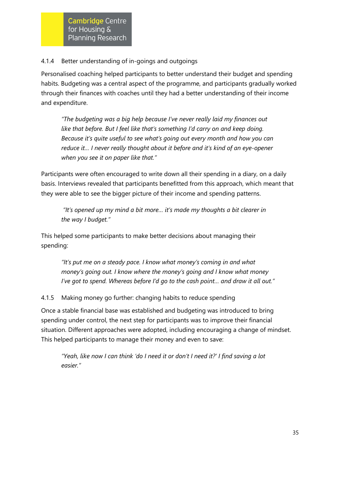### 4.1.4 Better understanding of in-goings and outgoings

Personalised coaching helped participants to better understand their budget and spending habits. Budgeting was a central aspect of the programme, and participants gradually worked through their finances with coaches until they had a better understanding of their income and expenditure.

*"The budgeting was a big help because I've never really laid my finances out like that before. But I feel like that's something I'd carry on and keep doing. Because it's quite useful to see what's going out every month and how you can reduce it… I never really thought about it before and it's kind of an eye-opener when you see it on paper like that."*

Participants were often encouraged to write down all their spending in a diary, on a daily basis. Interviews revealed that participants benefitted from this approach, which meant that they were able to see the bigger picture of their income and spending patterns.

*"It's opened up my mind a bit more… it's made my thoughts a bit clearer in the way I budget."*

This helped some participants to make better decisions about managing their spending:

*"It's put me on a steady pace. I know what money's coming in and what money's going out. I know where the money's going and I know what money I've got to spend. Whereas before I'd go to the cash point… and draw it all out."* 

4.1.5 Making money go further: changing habits to reduce spending

Once a stable financial base was established and budgeting was introduced to bring spending under control, the next step for participants was to improve their financial situation. Different approaches were adopted, including encouraging a change of mindset. This helped participants to manage their money and even to save:

*"Yeah, like now I can think 'do I need it or don't I need it?' I find saving a lot easier."*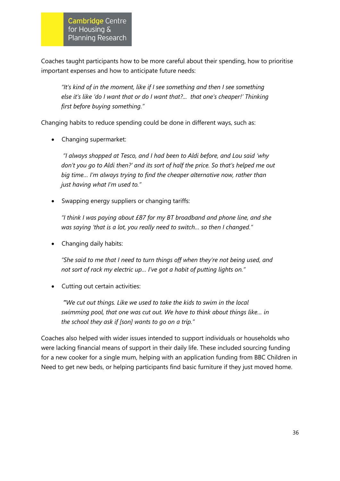Coaches taught participants how to be more careful about their spending, how to prioritise important expenses and how to anticipate future needs:

*"It's kind of in the moment, like if I see something and then I see something else it's like 'do I want that or do I want that?... that one's cheaper!' Thinking first before buying something."*

Changing habits to reduce spending could be done in different ways, such as:

• Changing supermarket:

*"I always shopped at Tesco, and I had been to Aldi before, and Lou said 'why don't you go to Aldi then?' and its sort of half the price. So that's helped me out big time… I'm always trying to find the cheaper alternative now, rather than just having what I'm used to."*

• Swapping energy suppliers or changing tariffs:

*"I think I was paying about £87 for my BT broadband and phone line, and she was saying 'that is a lot, you really need to switch… so then I changed."*

• Changing daily habits:

*"She said to me that I need to turn things off when they're not being used, and not sort of rack my electric up… I've got a habit of putting lights on."*

• Cutting out certain activities:

*"We cut out things. Like we used to take the kids to swim in the local swimming pool, that one was cut out. We have to think about things like… in the school they ask if [son] wants to go on a trip."*

Coaches also helped with wider issues intended to support individuals or households who were lacking financial means of support in their daily life. These included sourcing funding for a new cooker for a single mum, helping with an application funding from BBC Children in Need to get new beds, or helping participants find basic furniture if they just moved home.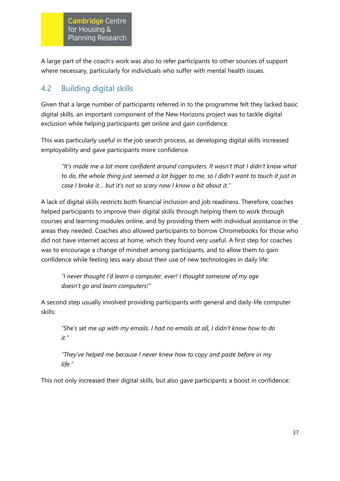A large part of the coach's work was also to refer participants to other sources of support where necessary, particularly for individuals who suffer with mental health issues.

# 4.2 Building digital skills

Given that a large number of participants referred in to the programme felt they lacked basic digital skills, an important component of the New Horizons project was to tackle digital exclusion while helping participants get online and gain confidence.

This was particularly useful in the job search process, as developing digital skills increased employability and gave participants more confidence.

*"It's made me a lot more confident around computers. It wasn't that I didn't know what to do, the whole thing just seemed a lot bigger to me, so I didn't want to touch it just in case I broke it… but it's not so scary now I know a bit about it."*

A lack of digital skills restricts both financial inclusion and job readiness. Therefore, coaches helped participants to improve their digital skills through helping them to work through courses and learning modules online, and by providing them with individual assistance in the areas they needed. Coaches also allowed participants to borrow Chromebooks for those who did not have internet access at home, which they found very useful. A first step for coaches was to encourage a change of mindset among participants, and to allow them to gain confidence while feeling less wary about their use of new technologies in daily life:

*"I never thought I'd learn a computer, ever! I thought someone of my age doesn't go and learn computers!"*

A second step usually involved providing participants with general and daily-life computer skills:

*"She's set me up with my emails. I had no emails at all, I didn't know how to do it."*

*"They've helped me because I never knew how to copy and paste before in my life."*

This not only increased their digital skills, but also gave participants a boost in confidence: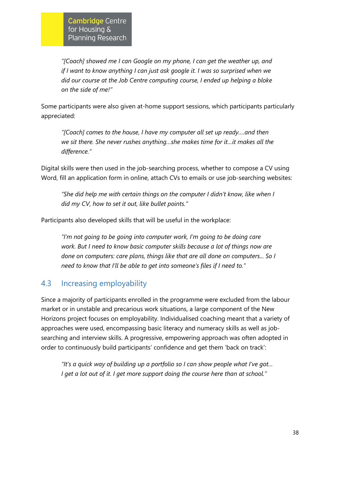*"[Coach] showed me I can Google on my phone, I can get the weather up, and if I want to know anything I can just ask google it. I was so surprised when we did our course at the Job Centre computing course, I ended up helping a bloke on the side of me!"*

Some participants were also given at-home support sessions, which participants particularly appreciated:

*"[Coach] comes to the house, I have my computer all set up ready….and then we sit there. She never rushes anything…she makes time for it…it makes all the difference."*

Digital skills were then used in the job-searching process, whether to compose a CV using Word, fill an application form in online, attach CVs to emails or use job-searching websites:

*"She did help me with certain things on the computer I didn't know, like when I did my CV, how to set it out, like bullet points."*

Participants also developed skills that will be useful in the workplace:

*"I'm not going to be going into computer work, I'm going to be doing care work. But I need to know basic computer skills because a lot of things now are done on computers: care plans, things like that are all done on computers... So I need to know that I'll be able to get into someone's files if I need to."*

# 4.3 Increasing employability

Since a majority of participants enrolled in the programme were excluded from the labour market or in unstable and precarious work situations, a large component of the New Horizons project focuses on employability. Individualised coaching meant that a variety of approaches were used, encompassing basic literacy and numeracy skills as well as jobsearching and interview skills. A progressive, empowering approach was often adopted in order to continuously build participants' confidence and get them 'back on track':

*"It's a quick way of building up a portfolio so I can show people what I've got… I get a lot out of it. I get more support doing the course here than at school."*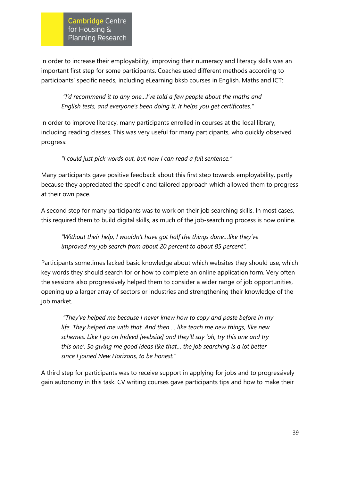In order to increase their employability, improving their numeracy and literacy skills was an important first step for some participants. Coaches used different methods according to participants' specific needs, including eLearning bksb courses in English, Maths and ICT:

*"I'd recommend it to any one…I've told a few people about the maths and English tests, and everyone's been doing it. It helps you get certificates."*

In order to improve literacy, many participants enrolled in courses at the local library, including reading classes. This was very useful for many participants, who quickly observed progress:

*"I could just pick words out, but now I can read a full sentence."* 

Many participants gave positive feedback about this first step towards employability, partly because they appreciated the specific and tailored approach which allowed them to progress at their own pace.

A second step for many participants was to work on their job searching skills. In most cases, this required them to build digital skills, as much of the job-searching process is now online.

*"Without their help, I wouldn't have got half the things done…like they've improved my job search from about 20 percent to about 85 percent".* 

Participants sometimes lacked basic knowledge about which websites they should use, which key words they should search for or how to complete an online application form. Very often the sessions also progressively helped them to consider a wider range of job opportunities, opening up a larger array of sectors or industries and strengthening their knowledge of the job market.

*"They've helped me because I never knew how to copy and paste before in my life. They helped me with that. And then…. like teach me new things, like new schemes. Like I go on Indeed [website] and they'll say 'oh, try this one and try this one'. So giving me good ideas like that… the job searching is a lot better since I joined New Horizons, to be honest."*

A third step for participants was to receive support in applying for jobs and to progressively gain autonomy in this task. CV writing courses gave participants tips and how to make their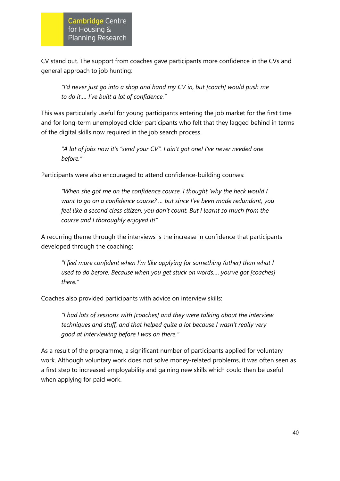CV stand out. The support from coaches gave participants more confidence in the CVs and general approach to job hunting:

*"I'd never just go into a shop and hand my CV in, but [coach] would push me to do it…. I've built a lot of confidence."*

This was particularly useful for young participants entering the job market for the first time and for long-term unemployed older participants who felt that they lagged behind in terms of the digital skills now required in the job search process.

*"A lot of jobs now it's "send your CV". I ain't got one! I've never needed one before."* 

Participants were also encouraged to attend confidence-building courses:

*"When she got me on the confidence course. I thought 'why the heck would I want to go on a confidence course? … but since I've been made redundant, you feel like a second class citizen, you don't count. But I learnt so much from the course and I thoroughly enjoyed it!"*

A recurring theme through the interviews is the increase in confidence that participants developed through the coaching:

*"I feel more confident when I'm like applying for something (other) than what I used to do before. Because when you get stuck on words…. you've got [coaches] there."*

Coaches also provided participants with advice on interview skills:

*"I had lots of sessions with [coaches] and they were talking about the interview techniques and stuff, and that helped quite a lot because I wasn't really very good at interviewing before I was on there."*

As a result of the programme, a significant number of participants applied for voluntary work. Although voluntary work does not solve money-related problems, it was often seen as a first step to increased employability and gaining new skills which could then be useful when applying for paid work.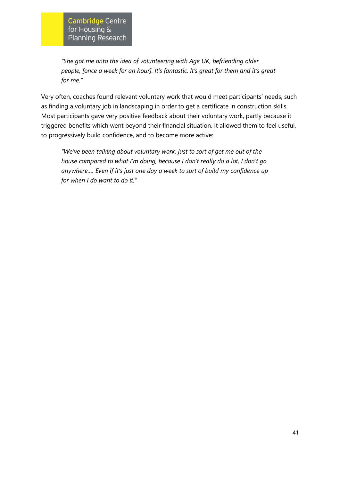*"She got me onto the idea of volunteering with Age UK, befriending older people, [once a week for an hour]. It's fantastic. It's great for them and it's great for me."*

Very often, coaches found relevant voluntary work that would meet participants' needs, such as finding a voluntary job in landscaping in order to get a certificate in construction skills. Most participants gave very positive feedback about their voluntary work, partly because it triggered benefits which went beyond their financial situation. It allowed them to feel useful, to progressively build confidence, and to become more active:

*"We've been talking about voluntary work, just to sort of get me out of the house compared to what I'm doing, because I don't really do a lot, I don't go anywhere…. Even if it's just one day a week to sort of build my confidence up for when I do want to do it."*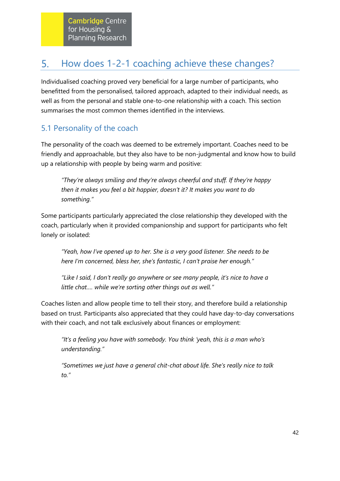#### <span id="page-47-0"></span>5. How does 1-2-1 coaching achieve these changes?

Individualised coaching proved very beneficial for a large number of participants, who benefitted from the personalised, tailored approach, adapted to their individual needs, as well as from the personal and stable one-to-one relationship with a coach. This section summarises the most common themes identified in the interviews.

# 5.1 Personality of the coach

The personality of the coach was deemed to be extremely important. Coaches need to be friendly and approachable, but they also have to be non-judgmental and know how to build up a relationship with people by being warm and positive:

*"They're always smiling and they're always cheerful and stuff. If they're happy then it makes you feel a bit happier, doesn't it? It makes you want to do something."* 

Some participants particularly appreciated the close relationship they developed with the coach, particularly when it provided companionship and support for participants who felt lonely or isolated:

*"Yeah, how I've opened up to her. She is a very good listener. She needs to be here I'm concerned, bless her, she's fantastic, I can't praise her enough."* 

*"Like I said, I don't really go anywhere or see many people, it's nice to have a little chat…. while we're sorting other things out as well."*

Coaches listen and allow people time to tell their story, and therefore build a relationship based on trust. Participants also appreciated that they could have day-to-day conversations with their coach, and not talk exclusively about finances or employment:

*"It's a feeling you have with somebody. You think 'yeah, this is a man who's understanding."*

*"Sometimes we just have a general chit-chat about life. She's really nice to talk to."*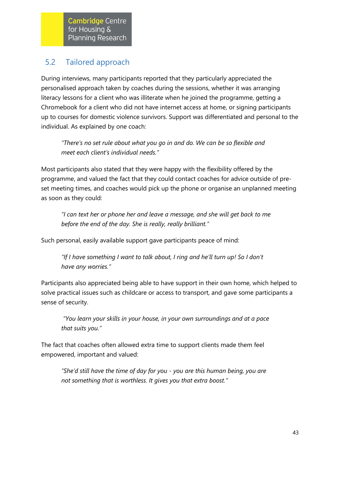# 5.2 Tailored approach

During interviews, many participants reported that they particularly appreciated the personalised approach taken by coaches during the sessions, whether it was arranging literacy lessons for a client who was illiterate when he joined the programme, getting a Chromebook for a client who did not have internet access at home, or signing participants up to courses for domestic violence survivors. Support was differentiated and personal to the individual. As explained by one coach:

*"There's no set rule about what you go in and do. We can be so flexible and meet each client's individual needs."*

Most participants also stated that they were happy with the flexibility offered by the programme, and valued the fact that they could contact coaches for advice outside of preset meeting times, and coaches would pick up the phone or organise an unplanned meeting as soon as they could:

*"I can text her or phone her and leave a message, and she will get back to me before the end of the day. She is really, really brilliant."*

Such personal, easily available support gave participants peace of mind:

*"If I have something I want to talk about, I ring and he'll turn up! So I don't have any worries."*

Participants also appreciated being able to have support in their own home, which helped to solve practical issues such as childcare or access to transport, and gave some participants a sense of security.

*"You learn your skills in your house, in your own surroundings and at a pace that suits you."*

The fact that coaches often allowed extra time to support clients made them feel empowered, important and valued:

*"She'd still have the time of day for you - you are this human being, you are not something that is worthless. It gives you that extra boost."*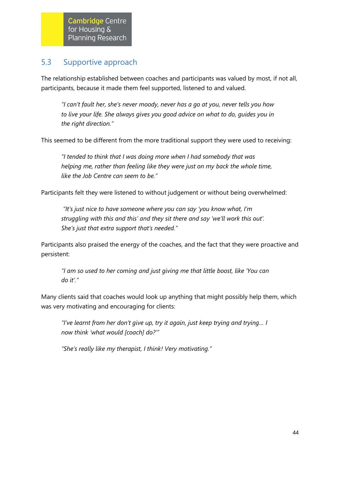# 5.3 Supportive approach

The relationship established between coaches and participants was valued by most, if not all, participants, because it made them feel supported, listened to and valued.

*"I can't fault her, she's never moody, never has a go at you, never tells you how to live your life. She always gives you good advice on what to do, guides you in the right direction."*

This seemed to be different from the more traditional support they were used to receiving:

*"I tended to think that I was doing more when I had somebody that was helping me, rather than feeling like they were just on my back the whole time, like the Job Centre can seem to be."* 

Participants felt they were listened to without judgement or without being overwhelmed:

*"It's just nice to have someone where you can say 'you know what, I'm struggling with this and this' and they sit there and say 'we'll work this out'. She's just that extra support that's needed."*

Participants also praised the energy of the coaches, and the fact that they were proactive and persistent:

*"I am so used to her coming and just giving me that little boost, like 'You can do it'."*

Many clients said that coaches would look up anything that might possibly help them, which was very motivating and encouraging for clients:

*"I've learnt from her don't give up, try it again, just keep trying and trying… I now think 'what would [coach] do?'"* 

*"She's really like my therapist, I think! Very motivating."*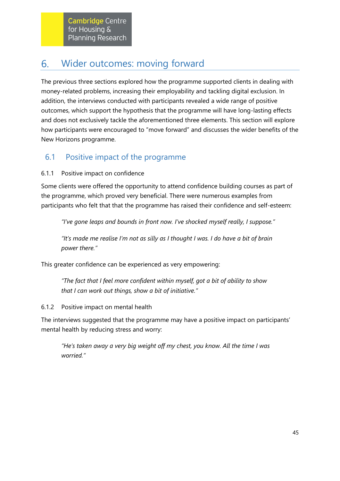#### <span id="page-50-0"></span>Wider outcomes: moving forward 6.

The previous three sections explored how the programme supported clients in dealing with money-related problems, increasing their employability and tackling digital exclusion. In addition, the interviews conducted with participants revealed a wide range of positive outcomes, which support the hypothesis that the programme will have long-lasting effects and does not exclusively tackle the aforementioned three elements. This section will explore how participants were encouraged to "move forward" and discusses the wider benefits of the New Horizons programme.

# 6.1 Positive impact of the programme

# 6.1.1 Positive impact on confidence

Some clients were offered the opportunity to attend confidence building courses as part of the programme, which proved very beneficial. There were numerous examples from participants who felt that that the programme has raised their confidence and self-esteem:

*"I've gone leaps and bounds in front now. I've shocked myself really, I suppose."*

*"It's made me realise I'm not as silly as I thought I was. I do have a bit of brain power there."*

This greater confidence can be experienced as very empowering:

*"The fact that I feel more confident within myself, got a bit of ability to show that I can work out things, show a bit of initiative."*

6.1.2 Positive impact on mental health

The interviews suggested that the programme may have a positive impact on participants' mental health by reducing stress and worry:

*"He's taken away a very big weight off my chest, you know. All the time I was worried."*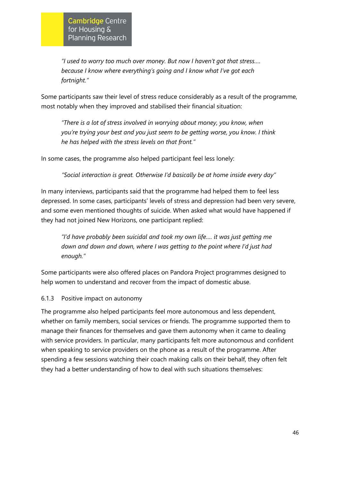*"I used to worry too much over money. But now I haven't got that stress…. because I know where everything's going and I know what I've got each fortnight."* 

Some participants saw their level of stress reduce considerably as a result of the programme, most notably when they improved and stabilised their financial situation:

*"There is a lot of stress involved in worrying about money, you know, when you're trying your best and you just seem to be getting worse, you know. I think he has helped with the stress levels on that front."*

In some cases, the programme also helped participant feel less lonely:

*"Social interaction is great. Otherwise I'd basically be at home inside every day"*

In many interviews, participants said that the programme had helped them to feel less depressed. In some cases, participants' levels of stress and depression had been very severe, and some even mentioned thoughts of suicide. When asked what would have happened if they had not joined New Horizons, one participant replied:

*"I'd have probably been suicidal and took my own life…. it was just getting me down and down and down, where I was getting to the point where I'd just had enough."*

Some participants were also offered places on Pandora Project programmes designed to help women to understand and recover from the impact of domestic abuse.

### 6.1.3 Positive impact on autonomy

The programme also helped participants feel more autonomous and less dependent, whether on family members, social services or friends. The programme supported them to manage their finances for themselves and gave them autonomy when it came to dealing with service providers. In particular, many participants felt more autonomous and confident when speaking to service providers on the phone as a result of the programme. After spending a few sessions watching their coach making calls on their behalf, they often felt they had a better understanding of how to deal with such situations themselves: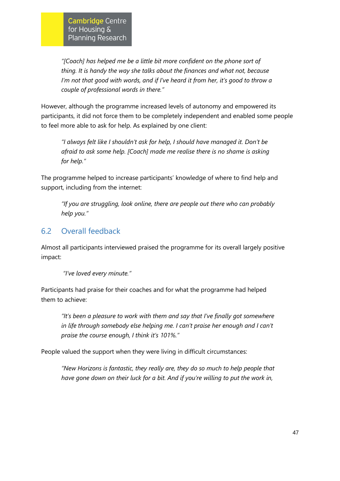*"[Coach] has helped me be a little bit more confident on the phone sort of thing. It is handy the way she talks about the finances and what not, because I'm not that good with words, and if I've heard it from her, it's good to throw a couple of professional words in there."*

However, although the programme increased levels of autonomy and empowered its participants, it did not force them to be completely independent and enabled some people to feel more able to ask for help. As explained by one client:

*"I always felt like I shouldn't ask for help, I should have managed it. Don't be afraid to ask some help. [Coach] made me realise there is no shame is asking for help."*

The programme helped to increase participants' knowledge of where to find help and support, including from the internet:

*"If you are struggling, look online, there are people out there who can probably help you."*

# 6.2 Overall feedback

Almost all participants interviewed praised the programme for its overall largely positive impact:

*"I've loved every minute."*

Participants had praise for their coaches and for what the programme had helped them to achieve:

*"It's been a pleasure to work with them and say that I've finally got somewhere in life through somebody else helping me. I can't praise her enough and I can't praise the course enough, I think it's 101%."*

People valued the support when they were living in difficult circumstances:

*"New Horizons is fantastic, they really are, they do so much to help people that have gone down on their luck for a bit. And if you're willing to put the work in,*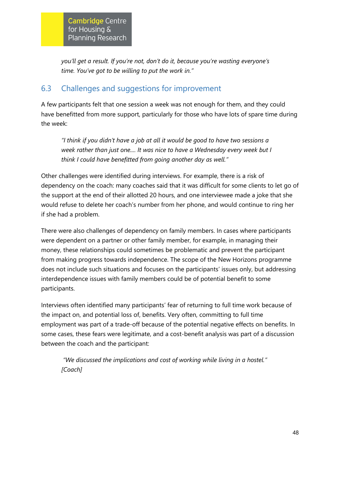*you'll get a result. If you're not, don't do it, because you're wasting everyone's time. You've got to be willing to put the work in."*

# 6.3 Challenges and suggestions for improvement

A few participants felt that one session a week was not enough for them, and they could have benefitted from more support, particularly for those who have lots of spare time during the week:

*"I think if you didn't have a job at all it would be good to have two sessions a week rather than just one.... It was nice to have a Wednesday every week but I think I could have benefitted from going another day as well."*

Other challenges were identified during interviews. For example, there is a risk of dependency on the coach: many coaches said that it was difficult for some clients to let go of the support at the end of their allotted 20 hours, and one interviewee made a joke that she would refuse to delete her coach's number from her phone, and would continue to ring her if she had a problem.

There were also challenges of dependency on family members. In cases where participants were dependent on a partner or other family member, for example, in managing their money, these relationships could sometimes be problematic and prevent the participant from making progress towards independence. The scope of the New Horizons programme does not include such situations and focuses on the participants' issues only, but addressing interdependence issues with family members could be of potential benefit to some participants.

Interviews often identified many participants' fear of returning to full time work because of the impact on, and potential loss of, benefits. Very often, committing to full time employment was part of a trade-off because of the potential negative effects on benefits. In some cases, these fears were legitimate, and a cost-benefit analysis was part of a discussion between the coach and the participant:

*"We discussed the implications and cost of working while living in a hostel." [Coach]*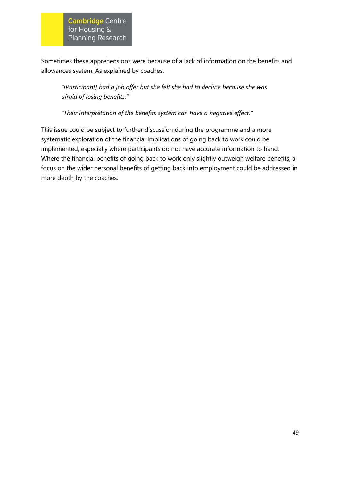Sometimes these apprehensions were because of a lack of information on the benefits and allowances system. As explained by coaches:

*"[Participant] had a job offer but she felt she had to decline because she was afraid of losing benefits."*

*"Their interpretation of the benefits system can have a negative effect."*

This issue could be subject to further discussion during the programme and a more systematic exploration of the financial implications of going back to work could be implemented, especially where participants do not have accurate information to hand. Where the financial benefits of going back to work only slightly outweigh welfare benefits, a focus on the wider personal benefits of getting back into employment could be addressed in more depth by the coaches.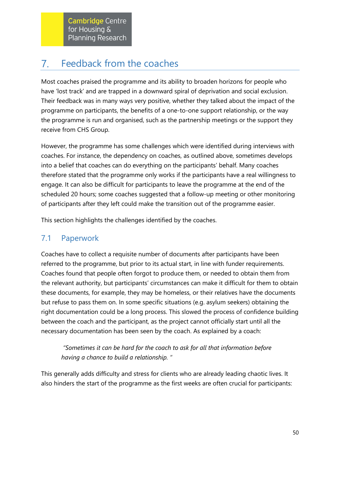#### <span id="page-55-0"></span>Feedback from the coaches  $7.$

Most coaches praised the programme and its ability to broaden horizons for people who have 'lost track' and are trapped in a downward spiral of deprivation and social exclusion. Their feedback was in many ways very positive, whether they talked about the impact of the programme on participants, the benefits of a one-to-one support relationship, or the way the programme is run and organised, such as the partnership meetings or the support they receive from CHS Group.

However, the programme has some challenges which were identified during interviews with coaches. For instance, the dependency on coaches, as outlined above, sometimes develops into a belief that coaches can do everything on the participants' behalf. Many coaches therefore stated that the programme only works if the participants have a real willingness to engage. It can also be difficult for participants to leave the programme at the end of the scheduled 20 hours; some coaches suggested that a follow-up meeting or other monitoring of participants after they left could make the transition out of the programme easier.

This section highlights the challenges identified by the coaches.

# 7.1 Paperwork

Coaches have to collect a requisite number of documents after participants have been referred to the programme, but prior to its actual start, in line with funder requirements. Coaches found that people often forgot to produce them, or needed to obtain them from the relevant authority, but participants' circumstances can make it difficult for them to obtain these documents, for example, they may be homeless, or their relatives have the documents but refuse to pass them on. In some specific situations (e.g. asylum seekers) obtaining the right documentation could be a long process. This slowed the process of confidence building between the coach and the participant, as the project cannot officially start until all the necessary documentation has been seen by the coach. As explained by a coach:

*"Sometimes it can be hard for the coach to ask for all that information before having a chance to build a relationship. "*

This generally adds difficulty and stress for clients who are already leading chaotic lives. It also hinders the start of the programme as the first weeks are often crucial for participants: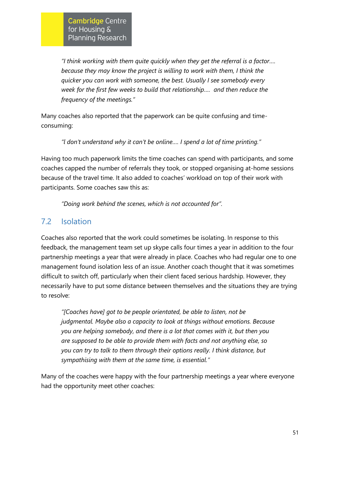*"I think working with them quite quickly when they get the referral is a factor…. because they may know the project is willing to work with them, I think the quicker you can work with someone, the best. Usually I see somebody every week for the first few weeks to build that relationship…. and then reduce the frequency of the meetings."*

Many coaches also reported that the paperwork can be quite confusing and timeconsuming:

*"l don't understand why it can't be online…. I spend a lot of time printing."* 

Having too much paperwork limits the time coaches can spend with participants, and some coaches capped the number of referrals they took, or stopped organising at-home sessions because of the travel time. It also added to coaches' workload on top of their work with participants. Some coaches saw this as:

*"Doing work behind the scenes, which is not accounted for".* 

# 7.2 Isolation

Coaches also reported that the work could sometimes be isolating. In response to this feedback, the management team set up skype calls four times a year in addition to the four partnership meetings a year that were already in place. Coaches who had regular one to one management found isolation less of an issue. Another coach thought that it was sometimes difficult to switch off, particularly when their client faced serious hardship. However, they necessarily have to put some distance between themselves and the situations they are trying to resolve:

*"[Coaches have] got to be people orientated, be able to listen, not be judgmental. Maybe also a capacity to look at things without emotions. Because you are helping somebody, and there is a lot that comes with it, but then you are supposed to be able to provide them with facts and not anything else, so you can try to talk to them through their options really. I think distance, but sympathising with them at the same time, is essential."*

Many of the coaches were happy with the four partnership meetings a year where everyone had the opportunity meet other coaches: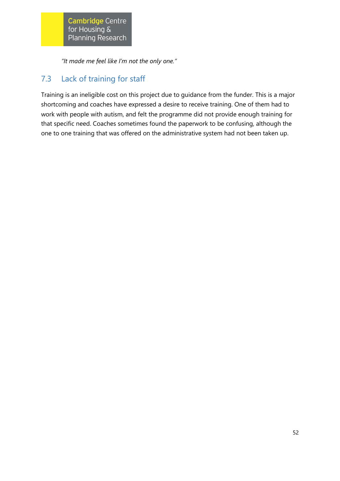*"It made me feel like I'm not the only one."* 

# 7.3 Lack of training for staff

Training is an ineligible cost on this project due to guidance from the funder. This is a major shortcoming and coaches have expressed a desire to receive training. One of them had to work with people with autism, and felt the programme did not provide enough training for that specific need. Coaches sometimes found the paperwork to be confusing, although the one to one training that was offered on the administrative system had not been taken up.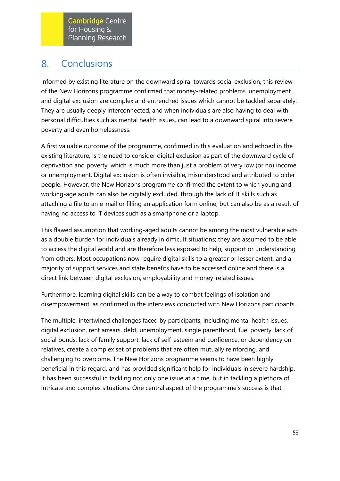#### <span id="page-58-0"></span>**Conclusions** 8.

Informed by existing literature on the downward spiral towards social exclusion, this review of the New Horizons programme confirmed that money-related problems, unemployment and digital exclusion are complex and entrenched issues which cannot be tackled separately. They are usually deeply interconnected, and when individuals are also having to deal with personal difficulties such as mental health issues, can lead to a downward spiral into severe poverty and even homelessness.

A first valuable outcome of the programme, confirmed in this evaluation and echoed in the existing literature, is the need to consider digital exclusion as part of the downward cycle of deprivation and poverty, which is much more than just a problem of very low (or no) income or unemployment. Digital exclusion is often invisible, misunderstood and attributed to older people. However, the New Horizons programme confirmed the extent to which young and working-age adults can also be digitally excluded, through the lack of IT skills such as attaching a file to an e-mail or filling an application form online, but can also be as a result of having no access to IT devices such as a smartphone or a laptop.

This flawed assumption that working-aged adults cannot be among the most vulnerable acts as a double burden for individuals already in difficult situations; they are assumed to be able to access the digital world and are therefore less exposed to help, support or understanding from others. Most occupations now require digital skills to a greater or lesser extent, and a majority of support services and state benefits have to be accessed online and there is a direct link between digital exclusion, employability and money-related issues.

Furthermore, learning digital skills can be a way to combat feelings of isolation and disempowerment, as confirmed in the interviews conducted with New Horizons participants.

The multiple, intertwined challenges faced by participants, including mental health issues, digital exclusion, rent arrears, debt, unemployment, single parenthood, fuel poverty, lack of social bonds, lack of family support, lack of self-esteem and confidence, or dependency on relatives, create a complex set of problems that are often mutually reinforcing, and challenging to overcome. The New Horizons programme seems to have been highly beneficial in this regard, and has provided significant help for individuals in severe hardship. It has been successful in tackling not only one issue at a time, but in tackling a plethora of intricate and complex situations. One central aspect of the programme's success is that,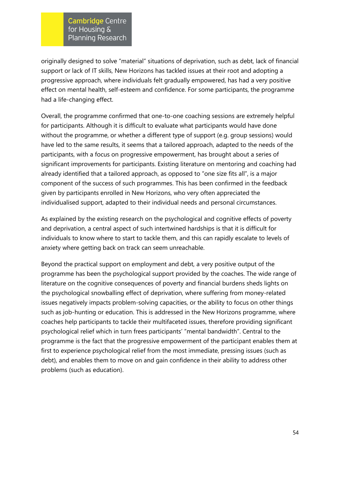originally designed to solve "material" situations of deprivation, such as debt, lack of financial support or lack of IT skills, New Horizons has tackled issues at their root and adopting a progressive approach, where individuals felt gradually empowered, has had a very positive effect on mental health, self-esteem and confidence. For some participants, the programme had a life-changing effect.

Overall, the programme confirmed that one-to-one coaching sessions are extremely helpful for participants. Although it is difficult to evaluate what participants would have done without the programme, or whether a different type of support (e.g. group sessions) would have led to the same results, it seems that a tailored approach, adapted to the needs of the participants, with a focus on progressive empowerment, has brought about a series of significant improvements for participants. Existing literature on mentoring and coaching had already identified that a tailored approach, as opposed to "one size fits all", is a major component of the success of such programmes. This has been confirmed in the feedback given by participants enrolled in New Horizons, who very often appreciated the individualised support, adapted to their individual needs and personal circumstances.

As explained by the existing research on the psychological and cognitive effects of poverty and deprivation, a central aspect of such intertwined hardships is that it is difficult for individuals to know where to start to tackle them, and this can rapidly escalate to levels of anxiety where getting back on track can seem unreachable.

Beyond the practical support on employment and debt, a very positive output of the programme has been the psychological support provided by the coaches. The wide range of literature on the cognitive consequences of poverty and financial burdens sheds lights on the psychological snowballing effect of deprivation, where suffering from money-related issues negatively impacts problem-solving capacities, or the ability to focus on other things such as job-hunting or education. This is addressed in the New Horizons programme, where coaches help participants to tackle their multifaceted issues, therefore providing significant psychological relief which in turn frees participants' "mental bandwidth". Central to the programme is the fact that the progressive empowerment of the participant enables them at first to experience psychological relief from the most immediate, pressing issues (such as debt), and enables them to move on and gain confidence in their ability to address other problems (such as education).